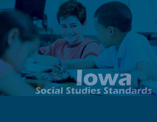# **Social Studies Standards**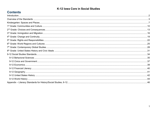# **Contents**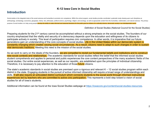# <span id="page-2-0"></span>**Introduction**

Social studies is the integrated study of the social sciences and humanities to promote civic competence. Within the school program, social studies provides coordinated, systematic study drawing upon such disciplines as anthropology, archaeology, economics, geography, history, law, philosophy, political science, psychology, religion, and sociology, as well as appropriate content from the humanities, mathematics, and natural sciences. The purpose of social studies is to help young people develop the ability to make informed and reasoned decisions for the public good as citizens of a culturally diverse, democratic society in an interdependent world.

-Definition of Social Studies (National Council for the Social Studies)

Preparing students for the 21<sup>st</sup> century cannot be accomplished without a strong emphasis on the social studies. The founders of our country emphasized that the vitality and security of a democracy depends upon the education and willingness of its citizens to participate actively in society. This level of participation requires civic competence. In other words, it is imperative that our future generations gain an understanding of the core concepts of social studies. Life in the United States within our democratic system is constantly changing which creates varying social circumstances. As a result, citizens need to adapt to such changes in order to sustain vital democratic traditions. Meeting this need is the mission of the social studies.

As we work to carry on the ideals of the founders, we are compelled to revisit our fundamental beliefs and institutions and to construct new social contexts and relationships. The academic standards for social studies reflect the belief that the informed social studies student comprehends and applies to personal and public experiences the core content perspectives of the many academic fields of the social studies. Our entire social experiences, as well as our republic, are established upon the principles of individual citizenship. Therefore, it is necessary to pay attention to the education of those **future** citizens.

The state's academic standards in social studies are premised upon a rigorous and relevant K – 12 social studies program within each district in the state. Engaging students in the pursuit of active informed citizenship will require a broad range of understandings and skills. It will also require an articulated district curriculum which connects students to the social world through informed instructional experiences led by teachers who are committed to active civic participation. This represents a bold step toward a vision of social studies for all of Iowa's students.

Additional information can be found at the Iowa Social Studies webpage at https://iowacore.gov/content/social-studies-resources.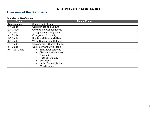# <span id="page-3-0"></span>**Overview of the Standards**

#### **Standards At-a-Glance**

| <b>Grade</b>                                 | <b>Theme/Focus</b>                 |
|----------------------------------------------|------------------------------------|
| Kindergarten                                 | Spaces and Places                  |
| 1 <sup>st</sup> Grade                        | <b>Communities and Culture</b>     |
| 2 <sup>nd</sup> Grade                        | <b>Choices and Consequences</b>    |
| 3rd Grade                                    | Immigration and Migration          |
| 4 <sup>th</sup> Grade                        | <b>Change and Continuity</b>       |
| 5 <sup>th</sup> Grade                        | <b>Rights and Responsibilities</b> |
| 6 <sup>th</sup> Grade                        | <b>World Regions and Cultures</b>  |
| 7 <sup>th</sup> Grade                        | <b>Contemporary Global Studies</b> |
| 8 <sup>th</sup> Grade                        | US History and Civic Ideals        |
| $\overline{9^{th}}$ - 12 <sup>th</sup> Grade | <b>Behavioral Sciences</b>         |
|                                              | <b>Civics and Government</b>       |
|                                              | Economics                          |
|                                              | <b>Financial Literacy</b>          |
|                                              | Geography                          |
|                                              | <b>United States History</b>       |
|                                              | <b>World History</b>               |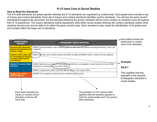#### **How to Read the Standards**

The K-8 draft standards are grade specific whereas the 9-12 standards are organized by content area. Each grade level includes a set of inquiry and content standards. Each set of inquiry and content standards identifies anchor standards. You will see the same anchor standards throughout the document, but the standard following the anchor standard will be more complex as students move throughout their K-12 experience. The inquiry standards outline disciplinary skills within social studies whereas the content standards outline what students should know and be able to do within the given content area. Each standard is also coded for identification of its grade level and number within the larger set of standards.

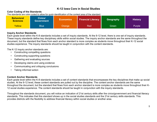#### **Color Coding of the Standards**

The standards are color-coded to allow for quick identification of the content area of the standard.

| <b>Behavioral</b><br><b>Sciences</b> | <b>Civics/</b><br><b>Government</b> | <b>Economics</b> | <b>Financial Literacy</b> | <b>Geography</b> | <b>History</b> |
|--------------------------------------|-------------------------------------|------------------|---------------------------|------------------|----------------|
| Yellow                               | <b>Blue</b>                         | Orange           | <b>Red</b>                | Green            | Purple         |

#### **Inquiry Anchor Standards**

Each grade level within the K-8 standards includes a set of inquiry standards. At the 9-12 level, there is one set of inquiry standards. These inquiry standards define key disciplinary skills within social studies. The inquiry anchor standards are the same throughout the document, but the standard that flows from each anchor standard is more complex as students move throughout their K-12 social studies experience. The inquiry standards should be taught in conjunction with the content standards.

The K-12 inquiry anchor standards are:

- Constructing compelling questions
- Constructing supporting questions
- Gathering and evaluating sources
- Developing claims and using evidence
- Communicating and critiquing conclusions
- Taking informed action

#### **Content Anchor Standards**

Each grade level within the K-8 standards includes a set of content standards that encompasses the key disciplines that make up social studies. At the 9-12 level, these content standards are pulled out by the discipline. The content anchor standards are the same throughout the document, but the standard that flows from each anchor standard is more complex as students move throughout their K-12 social studies experience. The content standards should be taught in conjunction with the inquiry standards.

Throughout the standards document, you will notice an indication of 21st century skills after the civics/government and financial literacy standards. This indicates that this standard shows up in the social studies standards and the 21st century skills standards. This provides districts with the flexibility to address financial literacy within social studies or another area.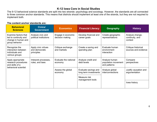The 9-12 behavioral science standards are split into two strands- psychology and sociology. However, the standards are all connected to three common anchor standards. This means that districts should implement at least one of the strands, but they are not required to implement both.

#### **The content anchor standards are:**

| <b>Behavioral</b><br><b>Sciences</b>                                                   | <b>Civics/</b><br><b>Government</b>                 | <b>Economics</b>                      | <b>Financial Literacy</b>                     | Geography                                            | <b>History</b>                                |
|----------------------------------------------------------------------------------------|-----------------------------------------------------|---------------------------------------|-----------------------------------------------|------------------------------------------------------|-----------------------------------------------|
| Examine factors that<br>led to continuity and<br>change in human and<br>group behavior | Analyze civic and<br>political institutions         | Engage in economic<br>decision making | Develop financial and<br>career goals         | Create geographic<br>representations                 | Analyze change,<br>continuity, and<br>context |
| Recognize the<br>interaction between<br>individuals and<br>various groups              | Apply civic virtues<br>and democratic<br>principles | Critique exchange<br>and markets      | Create a saving and<br>spending plan          | Evaluate human<br>environment<br>interaction         | Critique historical<br>sources and evidence   |
| Apply appropriate<br>research procedures<br>and skills of a                            | Interpret processes,<br>rules, and laws             | Evaluate the national<br>economy      | Analyze credit and<br>debt levels             | Analyze human<br>population movement<br>and patterns | Compare<br>perspectives                       |
| behavioral scientist                                                                   |                                                     | Assess the global<br>economy          | Evaluate savings and<br>long term investments | Analyze global<br>interconnections                   | Justify causation and<br>argumentation        |
|                                                                                        |                                                     |                                       | Measure risk<br>management tools              |                                                      |                                               |
|                                                                                        |                                                     |                                       |                                               |                                                      | lowa history                                  |
|                                                                                        |                                                     |                                       |                                               |                                                      |                                               |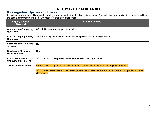## <span id="page-7-0"></span>**Kindergarten: Spaces and Places**

In kindergarten, students will engage in learning about themselves, their school, city and state. They will have opportunities to compare how life in the past is different from life today with respect to their own experiences.

| <b>Inquiry Anchor</b><br><b>Standard</b>                  | <b>Inquiry Standard</b>                                                                                                      |
|-----------------------------------------------------------|------------------------------------------------------------------------------------------------------------------------------|
| <b>Constructing Compelling</b><br><b>Questions</b>        | <b>SS.K.1.</b> Recognize a compelling question.                                                                              |
| <b>Constructing Supporting</b><br><b>Questions</b>        | <b>SS.K.2.</b> Identify the relationship between compelling and supporting questions.                                        |
| <b>Gathering and Evaluating</b><br><b>Sources</b>         | N/A                                                                                                                          |
| <b>Developing Claims and</b><br><b>Using Evidence</b>     | N/A                                                                                                                          |
| <b>Communicating and</b><br><b>Critiquing Conclusions</b> | <b>SS.K.3.</b> Construct responses to compelling questions using examples.                                                   |
| <b>Taking Informed Action</b>                             | <b>SS.K.4.</b> Take group or individual action to help address local, regional, and/or global problems.                      |
|                                                           | SS.K.5. Use deliberative and democratic procedures to make decisions about and act on civic problems in their<br>classrooms. |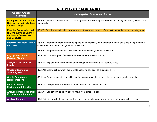| <b>Content Anchor</b><br><b>Standard</b>                                                            | <b>Kindergarten: Spaces and Places</b>                                                                                                                            |
|-----------------------------------------------------------------------------------------------------|-------------------------------------------------------------------------------------------------------------------------------------------------------------------|
| <b>Recognize the Interaction</b><br><b>Between the Individual and</b><br><b>Various Groups</b>      | <b>SS.K.6.</b> Describe students' roles in different groups of which they are members including their family, school, and<br>community.                           |
| <b>Examine Factors that Led</b><br>to Continuity and Change<br>on Human Development<br>and Behavior | SS.K.7. Describe ways in which students and others are alike and different within a variety of social categories.                                                 |
| <b>Interpret Processes, Rules</b><br>and Laws                                                       | SS.K.8. Determine a procedure for how people can effectively work together to make decisions to improve their<br>classrooms or communities. (21st century skills) |
|                                                                                                     | <b>SS.K.9.</b> Compare and contrast rules from different places. (21st century skills)                                                                            |
| <b>Engage in Economic</b><br><b>Decision Making</b>                                                 | SS.K.10. Give examples of choices that are made because of scarcity.                                                                                              |
| <b>Analyze Credit and Debt</b><br><b>Levels</b>                                                     | <b>SS.K.11.</b> Explain the difference between buying and borrowing. (21st century skills)                                                                        |
| <b>Create a Saving and</b><br><b>Spending Plan</b>                                                  | <b>SS.K.12.</b> Distinguish between appropriate spending choices. (21st century skills)                                                                           |
| <b>Create Geographic</b><br><b>Representations</b>                                                  | SS.K.13. Create a route to a specific location using maps, globes, and other simple geographic models.                                                            |
| <b>Evaluate Human</b><br><b>Environment Interaction</b>                                             | SS.K.14. Compare environmental characteristics in lowa with other places.                                                                                         |
| <b>Analyze Human Population</b><br><b>Movement and Patterns</b>                                     | SS.K.15. Explain why and how people move from place to place.                                                                                                     |
| <b>Analyze Change,</b>                                                                              | <b>SS.K.16.</b> Distinguish at least two related items or events by sequencing them from the past to the present.                                                 |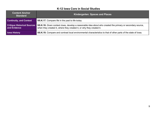| <b>Content Anchor</b><br><b>Standard</b> | <b>Kindergarten: Spaces and Places</b>                                                                                                                                                                                |
|------------------------------------------|-----------------------------------------------------------------------------------------------------------------------------------------------------------------------------------------------------------------------|
| <b>Continuity, and Context</b>           | <b>SS.K.17.</b> Compare life in the past to life today.                                                                                                                                                               |
| and Evidence                             | <b>Critique Historical Sources</b> SS.K.18. Given context clues, develop a reasonable idea about who created the primary or secondary source,<br>when they created it, where they created it, or why they created it. |
| <b>Iowa History</b>                      | SS.K.19. Compare and contrast local environmental characteristics to that of other parts of the state of lowa.                                                                                                        |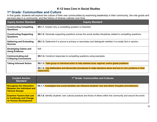## <span id="page-10-0"></span>**1 st Grade: Communities and Culture**

In first grade, students will explore the culture of their own communities by examining leadership in their community, the role goods and services play in a community, and the history of diverse cultures over time.

| <b>Inquiry Anchor Standard</b>                            | <b>Inquiry Standard</b>                                                                                                      |
|-----------------------------------------------------------|------------------------------------------------------------------------------------------------------------------------------|
| <b>Constructing Compelling</b><br><b>Questions</b>        | <b>SS.1.1.</b> Explain why a compelling question is important.                                                               |
| <b>Constructing Supporting</b><br><b>Questions</b>        | <b>SS.1.2.</b> Generate supporting questions across the social studies disciplines related to compelling questions.          |
| <b>Gathering and Evaluating</b><br><b>Sources</b>         | SS.1.3. Determine if a source is primary or secondary and distinguish whether it is mostly fact or opinion.                  |
| <b>Developing Claims and</b><br><b>Using Evidence</b>     | N/A                                                                                                                          |
| <b>Communicating and</b><br><b>Critiquing Conclusions</b> | <b>SS.1.4.</b> Construct responses to compelling questions using examples.                                                   |
| <b>Taking Informed Action</b>                             | SS.1.5. Take group or individual action to help address local, regional, and/or global problems.                             |
|                                                           | SS.1.6. Use deliberative and democratic procedures to make decisions about and act on civic problems in their<br>classrooms. |

| <b>Content Anchor</b><br><b>Standard</b>                                                       | 1 <sup>st</sup> Grade: Communities and Cultures                                                                         |
|------------------------------------------------------------------------------------------------|-------------------------------------------------------------------------------------------------------------------------|
| <b>Recognize the Interaction</b><br><b>Between the Individual and</b><br><b>Various Groups</b> | SS.1.7. Investigate how social identities can influence students' own and others' thoughts and behaviors.               |
| <b>Examine Factors that Led</b><br>to Continuity and Change<br>on Human Development            | <b>SS.1.8.</b> Identify students' own cultural practices and those of others within the community and around the world. |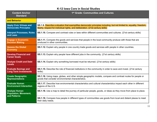| <b>Content Anchor</b><br><b>Standard</b>                             | 1 <sup>st</sup> Grade: Communities and Cultures                                                                                                                                                          |
|----------------------------------------------------------------------|----------------------------------------------------------------------------------------------------------------------------------------------------------------------------------------------------------|
| and Behavior                                                         |                                                                                                                                                                                                          |
| <b>Apply Civic Virtues and</b><br><b>Democratic Principles</b>       | SS.1.9. Describe a situation that exemplifies democratic principles including, but not limited to, equality, freedom,<br>liberty, respect for individual rights, and deliberation. (21st century skills) |
| <b>Interpret Processes, Rules</b><br>and Laws                        | SS.1.10. Compare and contrast rules or laws within different communities and cultures. (21st century skills)                                                                                             |
| <b>Engage in Economic</b><br><b>Decision Making</b>                  | SS.1.11. Compare the goods and services that people in the local community produce with those that are<br>produced in other communities.                                                                 |
| <b>Assess the Global</b><br><b>Economy</b>                           | SS.1.12. Explain why people in one country trade goods and services with people in other countries.                                                                                                      |
| <b>Develop Financial and</b><br><b>Career Goals</b>                  | <b>SS.1.13.</b> Explain why people have different jobs in the community. (21st century skills)                                                                                                           |
| <b>Analyze Credit and Debt</b><br><b>Levels</b>                      | <b>SS.1.14.</b> Explain why something borrowed must be returned. (21st century skills)                                                                                                                   |
| <b>Evaluate Savings and</b><br><b>Long Term Investments</b>          | SS.1.15. Describe the role of financial institutions in the community in order to save and invest. (21st century<br>skills)                                                                              |
| <b>Create Geographic</b><br><b>Representations</b>                   | SS.1.16. Using maps, globes, and other simple geographic models, compare and contrast routes for people or<br>goods that consider environmental characteristics.                                         |
| <b>Evaluate Human</b><br><b>Environment Interaction</b>              | SS.1.17. Describe how environmental characteristics and cultural characteristics impact each other in different<br>regions of the U.S.                                                                   |
| <b>Analyze Human</b><br><b>Population, Movement,</b><br>and Patterns | SS.1.18. Use a map to detail the journey of particular people, goods, or ideas as they move from place to place.                                                                                         |
|                                                                      | <b>SS.1.19.</b> Compare how people in different types of communities use goods from local and distant places to meet<br>their daily needs.                                                               |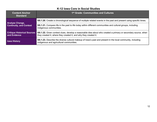| <b>Content Anchor</b><br><b>Standard</b>                 | 1 <sup>st</sup> Grade: Communities and Cultures                                                                                                                                   |
|----------------------------------------------------------|-----------------------------------------------------------------------------------------------------------------------------------------------------------------------------------|
| <b>Analyze Change,</b><br><b>Continuity, and Context</b> | SS.1.20. Create a chronological sequence of multiple related events in the past and present using specific times.                                                                 |
|                                                          | <b>SS.1.21.</b> Compare life in the past to life today within different communities and cultural groups, including<br>indigenous communities.                                     |
| <b>Critique Historical Sources</b><br>and Evidence       | SS.1.22. Given context clues, develop a reasonable idea about who created a primary or secondary source, when<br>they created it, where they created it, and why they created it. |
| <b>Iowa History</b>                                      | SS.1.23. Describe the diverse cultural makeup of lowa's past and present in the local community, including<br>indigenous and agricultural communities.                            |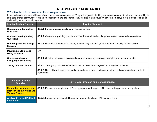## <span id="page-13-0"></span>**2 nd Grade: Choices and Consequences**

In second grade, students will learn about choices and consequences. They will engage in thinking and conversing about their own responsibility to take care of their community, focusing on cooperation and citizenship. They will also learn about how government plays a role in establishing and maintaining local community spaces.

| <b>Inquiry Anchor Standard</b>                            | <b>Inquiry Standard</b>                                                                                                             |
|-----------------------------------------------------------|-------------------------------------------------------------------------------------------------------------------------------------|
| <b>Constructing Compelling</b><br><b>Questions</b>        | <b>SS.2.1.</b> Explain why a compelling question is important.                                                                      |
| <b>Constructing Supporting</b><br><b>Questions</b>        | <b>SS.2.2.</b> Generate supporting questions across the social studies disciplines related to compelling questions.                 |
| <b>Gathering and Evaluating</b><br><b>Sources</b>         | SS.2.3. Determine if a source is primary or secondary and distinguish whether it is mostly fact or opinion.                         |
| <b>Developing Claims and</b><br><b>Using Evidence</b>     | N/A                                                                                                                                 |
| <b>Communicating and</b><br><b>Critiquing Conclusions</b> | <b>SS.2.4.</b> Construct responses to compelling questions using reasoning, examples, and relevant details                          |
| <b>Taking Informed Action</b>                             | <b>SS.2.5.</b> Take group or individual action to help address local, regional, and/or global problems.                             |
|                                                           | <b>SS.2.6.</b> Use deliberative and democratic procedures to make decisions about and act on civic problems in their<br>classrooms. |

| <b>Content Anchor</b><br><b>Standard</b>                                                       | 2 <sup>nd</sup> Grade: Choices and Consequences                                                                 |
|------------------------------------------------------------------------------------------------|-----------------------------------------------------------------------------------------------------------------|
| <b>Recognize the Interaction</b><br><b>Between the Individual and</b><br><b>Various Groups</b> | <b>SS.2.7.</b> Explain how people from different groups work through conflict when solving a community problem. |
| <b>Analyze Civic and Political</b><br><b>Institutions</b>                                      | <b>SS.2.8.</b> Explain the purpose of different government functions. (21st century skills)                     |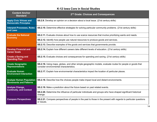| <b>Content Anchor</b><br><b>Standard</b>                         | 2 <sup>nd</sup> Grade: Choices and Consequences                                                                                                      |
|------------------------------------------------------------------|------------------------------------------------------------------------------------------------------------------------------------------------------|
| <b>Apply Civic Virtues and</b><br><b>Democratic Principles</b>   | SS.2.9. Develop an opinion on a decision about a local issue. (21st century skills)                                                                  |
| <b>Interpret Processes, Rules</b><br>and Laws                    | SS.2.10. Determine effective strategies for solving particular community problems. (21st century skills)                                             |
| <b>Evaluate the National</b>                                     | <b>SS.2.11.</b> Evaluate choices about how to use scarce resources that involve prioritizing wants and needs.                                        |
| <b>Economy</b>                                                   | SS.2.12. Identify how people use natural resources to produce goods and services.                                                                    |
|                                                                  | <b>SS.2.13.</b> Describe examples of the goods and services that governments provide.                                                                |
| <b>Develop Financial and</b><br><b>Career Goals</b>              | SS.2.14. Explain how different careers take different levels of education. (21st century skills)                                                     |
| <b>Create a Saving and</b><br><b>Spending Plan</b>               | SS.2.15. Evaluate choices and consequences for spending and saving. (21st century skills)                                                            |
| <b>Create Geographic</b><br><b>Representations</b>               | SS.2.16. Using maps, globes, and other simple geographic models, evaluate routes for people or goods that<br>consider environmental characteristics. |
| <b>Evaluate Human</b><br><b>Environment Interaction</b>          | SS.2.17. Explain how environmental characteristics impact the location of particular places.                                                         |
| <b>Analyze Human Population</b><br><b>Movements and Patterns</b> | SS.2.18. Describe how the choices people make impact local and distant environments.                                                                 |
| <b>Analyze Change,</b><br><b>Continuity, and Context</b>         | SS.2.19. Make a prediction about the future based on past related events.                                                                            |
|                                                                  | SS.2.20. Determine the influence of particular individuals and groups who have shaped significant historical<br>change.                              |
| <b>Compare Perspectives</b>                                      | <b>SS.2.21.</b> Compare perspectives of people in the past to those in the present with regards to particular questions<br>or issues.                |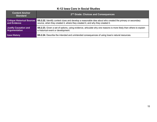| <b>Content Anchor</b><br><b>Standard</b> | 2 <sup>nd</sup> Grade: Choices and Consequences                                                                   |
|------------------------------------------|-------------------------------------------------------------------------------------------------------------------|
| <b>Critique Historical Sources</b>       | SS.2.22. Identify context clues and develop a reasonable idea about who created the primary or secondary          |
| and Evidence                             | source, when they created it, where they created it, and why they created it.                                     |
| <b>Justify Causation and</b>             | SS.2.23. Given a set of options, using evidence, articulate why one reasons is more likely than others to explain |
| Argumentation                            | a historical event or development.                                                                                |
| <b>Iowa History</b>                      | SS.2.24. Describe the intended and unintended consequences of using lowa's natural resources.                     |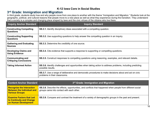## <span id="page-16-0"></span>**3 rd Grade: Immigration and Migration**

In third grade, students study how and why people move from one place to another with the theme "Immigration and Migration." Students look at the geographic, political, and cultural reasons that people move to a new place as well as what they experience during the transition. They understand that a society is a complex and changing place shaped by laws and the civic virtues of the citizens who live there.

| <b>Inquiry Anchor Standard</b>                            | <b>Inquiry Standard</b>                                                                                                                        |
|-----------------------------------------------------------|------------------------------------------------------------------------------------------------------------------------------------------------|
| <b>Constructing Compelling</b><br><b>Questions</b>        | <b>SS.3.1.</b> Identify disciplinary ideas associated with a compelling question.                                                              |
| <b>Constructing Supporting</b><br><b>Questions</b>        | <b>SS.3.2.</b> Use supporting questions to help answer the compelling question in an inquiry.                                                  |
| <b>Gathering and Evaluating</b><br><b>Sources</b>         | <b>SS.3.3.</b> Determine the credibility of one source.                                                                                        |
| <b>Developing Claims and</b><br><b>Using Evidence</b>     | <b>SS.3.4.</b> Cite evidence that supports a response to supporting or compelling questions.                                                   |
| <b>Communicating and</b><br><b>Critiquing Conclusions</b> | <b>SS.3.5.</b> Construct responses to compelling questions using reasoning, examples, and relevant details.                                    |
| <b>Taking Informed Action</b>                             | <b>SS.3.6.</b> Identify challenges and opportunities when taking action to address problems, including predicting<br>possible results.         |
|                                                           | <b>SS.3.7.</b> Use a range of deliberative and democratic procedures to make decisions about and act on civic<br>problems in their classrooms. |

| <b>Content Anchor Standard</b>                                                                 | 3rd Grade: Immigration and Migration                                                                                                                           |
|------------------------------------------------------------------------------------------------|----------------------------------------------------------------------------------------------------------------------------------------------------------------|
| <b>Recognize the Interaction</b><br><b>Between the Individual and</b><br><b>Various Groups</b> | <b>SS.3.8.</b> Describe the effects, opportunities, and conflicts that happened when people from different social<br>groups came into contact with each other. |
| <b>Examine Factors that Led</b><br>to Continuity and Change<br>on Human Development            | <b>SS.3.9.</b> Compare and contrast the treatment of a variety of demographic groups in the past and present.                                                  |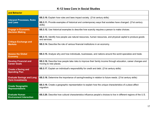| and Behavior                                                |                                                                                                                                       |
|-------------------------------------------------------------|---------------------------------------------------------------------------------------------------------------------------------------|
| <b>Interpret Processes, Rules</b><br>and Laws               | <b>SS.3.10.</b> Explain how rules and laws impact society. (21st century skills)                                                      |
|                                                             | <b>SS.3.11.</b> Provide examples of historical and contemporary ways that societies have changed. (21st century<br>skills)            |
| <b>Engage in Economic</b><br><b>Decision Making</b>         | SS.3.12. Use historical examples to describe how scarcity requires a person to make choices.                                          |
| <b>Critique Exchange and</b><br><b>Markets</b>              | SS.3.13. Identify how people use natural resources, human resources, and physical capital to produce goods<br>and services.           |
|                                                             | <b>SS.3.14.</b> Describe the role of various financial institutions in an economy.                                                    |
| <b>Assess the Global</b><br><b>Economy</b>                  | SS.3.15. Analyze why and how individuals, businesses, and nations around the world specialize and trade.                              |
| <b>Develop Financial and</b><br><b>Career Goals</b>         | SS.3.16. Describe how people take risks to improve their family income through education, career changes and<br>moving to new places. |
| <b>Create a Saving and</b><br><b>Spending Plan</b>          | SS.3.17. Explain an individual's responsibility for credit and debt. (21st century skills)                                            |
| <b>Evaluate Savings and Long</b><br><b>Term Investments</b> | <b>SS.3.18.</b> Determine the importance of saving/investing in relation to future needs. (21st century skills)                       |
| <b>Create Geographic</b><br><b>Representations</b>          | SS.3.19. Create a geographic representation to explain how the unique characteristics of a place affect<br>migration.                 |
| <b>Evaluate Human</b><br><b>Environment Interaction</b>     | SS.3.20. Describe how cultural characteristics influence people's choices to live in different regions of the U.S.                    |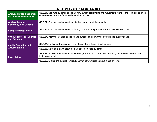| <b>Analyze Human Population</b><br><b>Movements and Patterns</b> | <b>SS.3.21.</b> Use map evidence to explain how human settlements and movements relate to the locations and use<br>of various regional landforms and natural resources. |
|------------------------------------------------------------------|-------------------------------------------------------------------------------------------------------------------------------------------------------------------------|
| <b>Analyze Change,</b><br><b>Continuity, and Context</b>         | SS.3.22. Compare and contrast events that happened at the same time.                                                                                                    |
| <b>Compare Perspectives</b>                                      | <b>SS.3.23.</b> Compare and contrast conflicting historical perspectives about a past event or issue.                                                                   |
| <b>Critique Historical Sources</b><br>and Evidence               | <b>SS.3.24.</b> Infer the intended audience and purpose of a primary source using textual evidence.                                                                     |
| <b>Justify Causation and</b><br>Argumentation                    | <b>SS.3.25.</b> Explain probable causes and effects of events and developments.                                                                                         |
|                                                                  | <b>SS.3.26.</b> Develop a claim about the past based on cited evidence.                                                                                                 |
| <b>Iowa History</b>                                              | <b>SS.3.27.</b> Analyze the movement of different groups in and out of lowa, including the removal and return of<br>indigenous people.                                  |
|                                                                  | SS.3.28. Explain the cultural contributions that different groups have made on lowa.                                                                                    |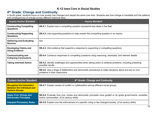## <span id="page-19-0"></span>**4 th Grade: Change and Continuity**

In fourth grade, students focus on how society has changed and stayed the same over time. Students see how change is inevitable and the patterns and consequences of change across different historical eras.

| <b>Inquiry Anchor Standard</b>                            | <b>Inquiry Standard</b>                                                                                                                 |
|-----------------------------------------------------------|-----------------------------------------------------------------------------------------------------------------------------------------|
| <b>Constructing Compelling</b><br><b>Questions</b>        | <b>SS.4.1.</b> Explain how a compelling question represents key ideas in the field.                                                     |
| <b>Constructing Supporting</b><br><b>Questions</b>        | <b>SS.4.2.</b> Use supporting questions to help answer the compelling question in an inquiry.                                           |
| <b>Gathering and Evaluating</b><br><b>Sources</b>         | N/A                                                                                                                                     |
| <b>Developing Claims and</b><br><b>Using Evidence</b>     | <b>SS.4.3.</b> Cite evidence that supports a response to supporting or compelling questions.                                            |
| <b>Communicating and</b><br><b>Critiquing Conclusions</b> | <b>SS.4.4.</b> Construct responses to compelling questions using reasoning, examples, and relevant details.                             |
| <b>Taking Informed Action</b>                             | <b>SS.4.5.</b> Identify challenges and opportunities when taking action to address problems, including predicting<br>possible results.  |
|                                                           | SS.4.6. Use a range of deliberative and democratic procedures to make decisions about and act on civic<br>problems in their classrooms. |

| <b>Content Anchor Standard</b>                                                                 | 4th Grade: Change and Continuity                                                                                                                                  |
|------------------------------------------------------------------------------------------------|-------------------------------------------------------------------------------------------------------------------------------------------------------------------|
| <b>Recognize the Interaction</b><br><b>Between the Individual and</b><br><b>Various Groups</b> | SS.4.7. Explain causes of conflict or collaboration among different social groups.                                                                                |
| <b>Apply Civic Virtues and</b><br><b>Democratic Principles</b>                                 | <b>SS.4.8</b> . Evaluate how civic virtues and democratic principles have guided or do guide governments, societies,<br>and/or communities. (21st century skills) |
| <b>Interpret Processes, Rules</b>                                                              | <b>SS.4.9.</b> Explain how the enforcement of a specific ruling or law changed society. (21st century skills)                                                     |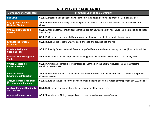| <b>Content Anchor Standard</b>                                  | 4th Grade: Change and Continuity                                                                                                           |
|-----------------------------------------------------------------|--------------------------------------------------------------------------------------------------------------------------------------------|
| and Laws                                                        | <b>SS.4.10.</b> Describe how societies have changed in the past and continue to change. (21st century skills)                              |
| <b>Engage in Economic</b><br><b>Decision Making</b>             | SS.4.11. Describe how scarcity requires a person to make a choice and identify costs associated with that<br>choice.                       |
| <b>Critique Exchange and</b><br><b>Markets</b>                  | <b>SS.4.12.</b> Using historical and/or local examples, explain how competition has influenced the production of goods<br>and services.    |
|                                                                 | SS.4.13. Compare and contrast different ways that the government interacts with the economy.                                               |
| <b>Evaluate the National</b><br><b>Economy</b>                  | SS.4.14. Explain the reasons why the costs of goods and services rise and fall.                                                            |
| <b>Create a Saving and</b><br><b>Spending Plan</b>              | <b>SS.4.15.</b> Identify factors that can influence people's different spending and saving choices. (21st century skills)                  |
| <b>Measure Risk Management</b><br><b>Tools</b>                  | SS.4.16. Determine the consequences of sharing personal information with others. (21st century skills)                                     |
| <b>Create Geographic</b><br><b>Representations</b>              | <b>SS.4.17.</b> Create a geographic representation to illustrate how the natural resources in an area affect the<br>decisions people make. |
| <b>Evaluate Human</b><br><b>Environment Interaction</b>         | SS.4.18. Describe how environmental and cultural characteristics influence population distribution in specific<br>places or regions.       |
| <b>Analyze Human Population</b><br><b>Movement and Patterns</b> | SS.4.19. Explain influences on the development and decline of different modes of transportation in U.S. regions.                           |
| <b>Analyze Change, Continuity,</b><br>and Context               | SS.4.20. Compare and contrast events that happened at the same time.                                                                       |
| <b>Compare Perspectives</b>                                     | <b>SS.4.21.</b> Analyze conflicting perspectives on historical and current events/issues.                                                  |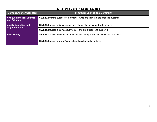| <b>Content Anchor Standard</b>                     | 4th Grade: Change and Continuity                                                            |
|----------------------------------------------------|---------------------------------------------------------------------------------------------|
| <b>Critique Historical Sources</b><br>and Evidence | <b>SS.4.22.</b> Infer the purpose of a primary source and from that the intended audience.  |
| <b>Justify Causation and</b><br>Argumentation      | <b>SS.4.23.</b> Explain probable causes and effects of events and developments.             |
|                                                    | <b>SS.4.24.</b> Develop a claim about the past and cite evidence to support it.             |
| <b>Iowa History</b>                                | <b>SS.4.25.</b> Analyze the impact of technological changes in lowa, across time and place. |
|                                                    | <b>SS.4.26.</b> Explain how lowa's agriculture has changed over time.                       |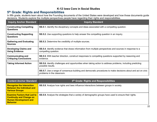## <span id="page-22-0"></span>**5 th Grade: Rights and Responsibilities**

In fifth grade, students learn about how the Founding documents of the United States were developed and how these documents guide decisions. Students explore the multiple perspectives people have regarding their rights and responsibilities.

| <b>Inquiry Anchor Standard</b>                            | <b>Inquiry Standard</b>                                                                                                                    |
|-----------------------------------------------------------|--------------------------------------------------------------------------------------------------------------------------------------------|
| <b>Constructing Compelling</b><br><b>Questions</b>        | <b>SS.5.1.</b> Identify the disciplinary concepts and ideas associated with a compelling question.                                         |
| <b>Constructing Supporting</b><br><b>Questions</b>        | <b>SS.5.2.</b> Use supporting questions to help answer the compelling question in an inquiry.                                              |
| <b>Gathering and Evaluating</b><br><b>Sources</b>         | <b>SS.5.3.</b> Determine the credibility of multiple sources.                                                                              |
| <b>Developing Claims and</b><br><b>Using Evidence</b>     | <b>SS.5.4.</b> Identify evidence that draws information from multiple perspectives and sources in response to a<br>compelling question.    |
| <b>Communicating and</b><br><b>Critiquing Conclusions</b> | <b>SS.5.5.</b> With teacher direction, construct responses to compelling questions supported by reasoning and<br>evidence.                 |
| <b>Taking Informed Action</b>                             | SS.5.6. Identify challenges and opportunities when taking action to address problems, including predicting<br>possible results.            |
|                                                           | SS.5.7. Use a range of consensus-building and democratic procedures to make decisions about and act on civic<br>problems in the classroom. |

| <b>Content Anchor Standard</b>                                                                                           | 5 <sup>th</sup> Grade: Rights and Responsibilities                                                           |
|--------------------------------------------------------------------------------------------------------------------------|--------------------------------------------------------------------------------------------------------------|
| <b>Recognize the Interaction</b><br><b>Between the Individual and</b><br><b>Various Groups</b>                           | <b>SS.5.8.</b> Analyze how rights and laws influence interactions between groups in society.                 |
| <b>Examine Factors that Led to</b><br><b>Continuity and Change on</b><br><b>Human Development and</b><br><b>Behavior</b> | <b>SS.5.9.</b> Analyze the strategies that a variety of demographic groups have used to ensure their rights. |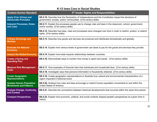| <b>Content Anchor Standard</b>                                   | 5 <sup>th</sup> Grade: Rights and Responsibilities                                                                                                                          |
|------------------------------------------------------------------|-----------------------------------------------------------------------------------------------------------------------------------------------------------------------------|
| <b>Apply Civic Virtues and</b><br><b>Democratic Principles</b>   | <b>SS.5.10.</b> Describe how the Declaration of Independence and the Constitution impact the decisions of<br>government, society, and/or communities. (21st century skills) |
| <b>Interpret Processes, Rules</b><br>and Laws                    | <b>SS.5.11.</b> Explain the processes people use to change rules and laws in the classroom, school, government,<br>and/or society. (21st century skills)                    |
|                                                                  | SS.5.12. Describe how laws, rules and processes have changed over time in order to restrict, protect, or extend<br>rights. (21st century skills)                            |
| <b>Critique Exchange and</b><br><b>Markets</b>                   | SS.5.13. Describe how goods and services are produced and distributed domestically and globally.                                                                            |
| <b>Evaluate the National</b><br><b>Economy</b>                   | SS.5.14. Explain how various levels of government use taxes to pay for the goods and services they provide.                                                                 |
| <b>Assess the Global Economy</b>                                 | SS.5.15. Explain how trade impacts relationships between countries.                                                                                                         |
| <b>Create a Saving and</b><br><b>Spending Plan</b>               | <b>SS.5.16.</b> Demonstrate ways to monitor how money is spent and saved. (21st century skills)                                                                             |
| <b>Measure Risk Management</b>                                   | SS.5.17. Give examples of financial risks that individuals and households face. (21st century skills)                                                                       |
| <b>Tools</b>                                                     | SS.5.18. Investigate ways that personal information is fraudulently obtained. (21st century skills)                                                                         |
| <b>Create Geographic</b><br><b>Representations</b>               | SS.5.19. Create geographic representations to illustrate how cultural and environmental characteristics of a<br>region impacted a historical event.                         |
| <b>Analyze Human Population</b><br><b>Movements and Patterns</b> | SS.5.20. Analyze how rules and laws encourage or restrict human population movements to and within the<br>United States of America.                                         |
| <b>Analyze Change, Continuity,</b><br>and Context                | SS.5.21. Describe the connections between historical developments that occurred within the same time period.                                                                |
| <b>Compare Perspectives</b>                                      | SS.5.22. Explain how economic, political, and social contexts shaped people's perspectives at a given time in<br>history.                                                   |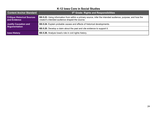| <b>Content Anchor Standard</b>                     | 5 <sup>th</sup> Grade: Rights and Responsibilities                                                                                                           |
|----------------------------------------------------|--------------------------------------------------------------------------------------------------------------------------------------------------------------|
| <b>Critique Historical Sources</b><br>and Evidence | SS.5.23. Using information from within a primary source, infer the intended audience, purpose, and how the<br>creator's intended audience shaped the source. |
| <b>Justify Causation and</b><br>Argumentation      | SS.5.24. Explain probable causes and effects of historical developments.                                                                                     |
|                                                    | SS.5.25. Develop a claim about the past and cite evidence to support it.                                                                                     |
| <b>Iowa History</b>                                | SS.5.26. Analyze lowa's role in civil rights history.                                                                                                        |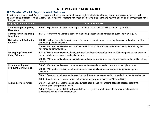## <span id="page-25-0"></span>**6 th Grade: World Regions and Cultures**

In sixth grade, students will focus on geography, history, and culture in global regions. Students will analyze regional, physical, and cultural characteristics of places. The analysis will show how these factors influenced people who lived there and how the people and characteristics have changed over time.

| <b>Inquiry Anchor Standard</b>                        | <b>Inquiry Standard</b>                                                                                                                                                      |
|-------------------------------------------------------|------------------------------------------------------------------------------------------------------------------------------------------------------------------------------|
| <b>Constructing Compelling</b><br><b>Questions</b>    | SS.6.1. Explain how disciplinary concepts and ideas are associated with a compelling question.                                                                               |
| <b>Constructing Supporting</b><br><b>Questions</b>    | SS.6.2. Identify the relationship between supporting questions and compelling questions in an inquiry.                                                                       |
| <b>Gathering and Evaluating</b><br><b>Sources</b>     | <b>SS.6.3.</b> Gather relevant information from primary and secondary sources using the origin and authority of the<br>source to guide the selection.                        |
|                                                       | SS.6.4. With teacher direction, evaluate the credibility of primary and secondary sources by determining their<br>relevance and intended use.                                |
| <b>Developing Claims and</b><br><b>Using Evidence</b> | <b>SS.6.5.</b> With teacher direction, identify evidence that draws information from multiple perspectives and sources<br>to support claims, noting evidentiary limitations. |
|                                                       | SS.6.6. With teacher direction, develop claims and counterclaims while pointing out the strengths and limitations<br>of both.                                                |
| <b>Communicating and</b>                              | <b>SS.6.7.</b> With teacher direction, construct arguments using claims and evidence from multiple sources.                                                                  |
| <b>Critiquing Conclusions</b>                         | <b>SS.6.8.</b> With guided practice, construct responses to compelling questions supported by reasoning and<br>evidence.                                                     |
|                                                       | SS.6.9. Present original arguments based on credible sources using a variety of media to authentic audiences.                                                                |
|                                                       | <b>SS.6.10.</b> With teacher direction, analyze the disciplinary arguments of peers' for credibility.                                                                        |
| <b>Taking Informed Action</b>                         | SS.6.11. Explain the challenges and opportunities people face when taking action to address problems,<br>including predicting possible results.                              |
|                                                       | SS.6.12. Apply a range of deliberative and democratic procedures to make decisions and take action in<br>classrooms, schools, and communities.                               |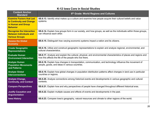| <b>Content Anchor</b><br><b>Standard</b>                                                             | 6th Grade: World Regions and Cultures                                                                                                                                       |
|------------------------------------------------------------------------------------------------------|-----------------------------------------------------------------------------------------------------------------------------------------------------------------------------|
| <b>Examine Factors that Led</b><br>to Continuity and Change<br>in Human and Group<br><b>Behavior</b> | SS.6.13. Identify what makes up a culture and examine how people acquire their cultural beliefs and value<br>systems.                                                       |
| <b>Recognize the Interaction</b><br><b>Between Individuals and</b><br><b>Various Groups</b>          | SS.6.14. Explain how groups form in our society, and how groups, as well as the individuals within those groups,<br>can influence each other.                               |
| <b>Assess the Global</b><br><b>Economy</b>                                                           | <b>SS.6.15.</b> Distinguish how varying economic systems impact a nation and its citizens.                                                                                  |
| <b>Create Geographic</b><br><b>Representations</b>                                                   | SS.6.16. Utilize and construct geographic representations to explain and analyze regional, environmental, and<br>cultural characteristics.                                  |
| <b>Evaluate Human</b><br><b>Environment Interaction</b>                                              | SS.6.17. Analyze and explain the cultural, physical, and environmental characteristics of places and regions and<br>how this affects the life of the people who live there. |
| <b>Analyze Human</b><br><b>Population Movements</b><br>and Patterns                                  | SS.6.18. Explain how changes in transportation, communication, and technology influence the movement of<br>people, goods, and ideas in various countries.                   |
| <b>Analyze Global</b><br><b>Interconnections</b>                                                     | SS.6.19. Explain how global changes in population distribution patterns affect changes in land use in particular<br>countries or regions.                                   |
| <b>Analyze Change,</b><br><b>Continuity, and Context</b>                                             | SS.6.20. Analyze connections among historical events and developments in various geographic and cultural<br>contexts.                                                       |
| <b>Compare Perspectives</b>                                                                          | SS.6.21. Explain how and why perspectives of people have changed throughout different historical eras.                                                                      |
| <b>Justify Causation and</b><br><b>Argumentation</b>                                                 | SS.6.22. Explain multiple causes and effects of events and developments in the past.                                                                                        |
| <b>Iowa History</b>                                                                                  | <b>SS.6.23.</b> Compare lowa's geography, natural resources and climate to other regions of the world.                                                                      |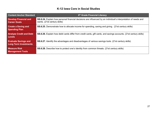| <b>Content Anchor Standard</b>                              | 6th Grade Financial Literacy                                                                                                                    |
|-------------------------------------------------------------|-------------------------------------------------------------------------------------------------------------------------------------------------|
| <b>Develop Financial and</b><br><b>Career Goals</b>         | SS.6.24. Explain how personal financial decisions are influenced by an individual's interpretation of needs and<br>wants. (21st century skills) |
| <b>Create a Saving and</b><br><b>Spending Plan</b>          | <b>SS.6.25.</b> Demonstrate how to allocate income for spending, saving and giving. (21st century skills)                                       |
| <b>Analyze Credit and Debt</b><br><b>Levels</b>             | <b>SS.6.26.</b> Explain how debit cards differ from credit cards, gift cards, and savings accounts. (21st century skills)                       |
| <b>Evaluate Savings and</b><br><b>Long Term Investments</b> | <b>SS.6.27.</b> Identify the advantages and disadvantages of various savings tools. (21st century skills)                                       |
| <b>Measure Risk</b><br><b>Management Tools</b>              | SS.6.28. Describe how to protect one's identity from common threats. (21st century skills)                                                      |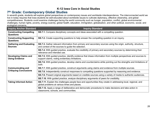## <span id="page-28-0"></span>**7 th Grade: Contemporary Global Studies**

In seventh grade, students will explore global perspectives on contemporary issues and worldwide interdependence. The interconnected world we live in today requires that Iowa students be well-educated about worldwide issues to cultivate diplomacy, effective citizenship, and global competitiveness. Students could examine challenges facing the world community such as hunger, population, conflict, global environmental challenges, human rights, poverty, energy scarcity, global health, education, immigration, globalization, and other political, economic, social, and ecological concerns.

| <b>Inquiry Anchor Standard</b>                            | <b>Inquiry Standard</b>                                                                                                                                              |
|-----------------------------------------------------------|----------------------------------------------------------------------------------------------------------------------------------------------------------------------|
| <b>Constructing Compelling</b><br><b>Questions</b>        | SS.7.1. Compare disciplinary concepts and ideas associated with a compelling question.                                                                               |
| <b>Constructing Supporting</b><br><b>Questions</b>        | SS.7.2. Create supporting questions to help answer the compelling question in an inquiry.                                                                            |
| <b>Gathering and Evaluating</b><br><b>Sources</b>         | SS.7.3. Gather relevant information from primary and secondary sources using the origin, authority, structure,<br>and context of the sources to guide the selection. |
|                                                           | SS.7.4. With guided practice, evaluate the credibility of primary and secondary sources by determining their<br>relevance and intended use.                          |
| <b>Developing Claims and</b><br><b>Using Evidence</b>     | SS.7.5. With guided practice, identify evidence that draws information from multiple perspectives and sources to<br>support claims, noting evidentiary limitations.  |
|                                                           | SS.7.6. With guided practice, develop claims and counterclaims while pointing out the strengths and limitations of<br>both.                                          |
| <b>Communicating and</b><br><b>Critiquing Conclusions</b> | <b>SS.7.7.</b> With guided practice, construct arguments using claims and evidence from multiple sources.                                                            |
|                                                           | SS.7.8. Independently construct responses to compelling questions supported by reasoning and evidence.                                                               |
|                                                           | SS.7.9. Present original arguments based on credible sources using a variety of media to authentic audiences.                                                        |
|                                                           | <b>SS.7.10.</b> With guided practice, analyze disciplinary arguments of peers for credibility.                                                                       |
| <b>Taking Informed Action</b>                             | SS.7.11. Explain the challenges people face and opportunities they create in addressing local, regional, and<br>global problems at various times and places.         |
|                                                           | SS.7.12. Apply a range of deliberative and democratic procedures to make decisions and take action in<br>classrooms, schools, and communities.                       |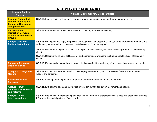| <b>Content Anchor</b><br><b>Standard</b>                                                                           | 7 <sup>th</sup> grade: Contemporary Global Studies                                                                                                                                                   |
|--------------------------------------------------------------------------------------------------------------------|------------------------------------------------------------------------------------------------------------------------------------------------------------------------------------------------------|
| <b>Examine Factors that</b><br><b>Led to Continuity and</b><br><b>Change in Human and</b><br><b>Group Behavior</b> | SS.7.13. Identify social, political and economic factors that can influence our thoughts and behavior.                                                                                               |
| <b>Recognize the</b><br><b>Interaction Between</b><br><b>Individuals and Various</b><br><b>Groups</b>              | SS.7.14. Examine what causes inequalities and how they exist within a society.                                                                                                                       |
| <b>Analyze Civic and</b><br><b>Political Institutions</b>                                                          | SS.7.15. Distinguish and apply the powers and responsibilities of global citizens, interest groups and the media in a<br>variety of governmental and nongovernmental contexts. (21st century skills) |
|                                                                                                                    | SS.7.16. Examine the origins, purposes, and impact of laws, treaties, and international agreements. (21st century<br>skills)                                                                         |
|                                                                                                                    | SS.7.17. Describe the roles of political, civil, and economic organizations in shaping people's lives. (21st century<br>skills)                                                                      |
| <b>Engage in Economic</b><br><b>Decision Making</b>                                                                | SS.7.18. Explain and evaluate how economic decisions affect the wellbeing of individuals, businesses, and society.                                                                                   |
| <b>Critique Exchange and</b><br><b>Markets</b>                                                                     | SS.7.19. Explain how external benefits, costs, supply and demand, and competition influence market prices,<br>wages, and outcomes.                                                                   |
| <b>Assess the Global</b><br><b>Economy</b>                                                                         | <b>SS.7.20.</b> Investigate the impact of trade policies and barriers on a nation and its citizens.                                                                                                  |
| <b>Analyze Human</b><br><b>Population Movements</b><br>and Patterns                                                | <b>SS.7.21.</b> Evaluate the push and pull factors involved in human population movement and patterns.                                                                                               |
| <b>Analyze Global</b><br><b>Interconnections</b>                                                                   | SS.7.22. Explain how the relationship between the environmental characteristics of places and production of goods<br>influences the spatial patterns of world trade.                                 |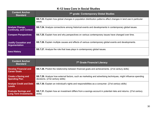| <b>Content Anchor</b><br><b>Standard</b>                 | 7th grade: Contemporary Global Studies                                                                                     |
|----------------------------------------------------------|----------------------------------------------------------------------------------------------------------------------------|
|                                                          | SS.7.23. Explain how global changes in population distribution patterns affect changes in land use in particular<br>areas. |
| <b>Analyze Change,</b><br><b>Continuity, and Context</b> | SS.7.24. Analyze connections among historical events and developments in contemporary global issues.                       |
| <b>Compare Perspectives</b>                              | SS.7.25. Explain how and why perspectives on various contemporary issues have changed over time.                           |
| <b>Justify Causation and</b><br><b>Argumentation</b>     | SS.7.26. Explain multiple causes and effects of various contemporary global events and developments.                       |
| <b>Iowa History</b>                                      | <b>SS.7.27.</b> Analyze the role that lowa plays in contemporary global issues.                                            |

| <b>Content Anchor</b><br><b>Standard</b>             | 7th Grade Financial Literacy                                                                                                                             |
|------------------------------------------------------|----------------------------------------------------------------------------------------------------------------------------------------------------------|
| <b>Develop Financial and</b><br><b>Career Goals</b>  | <b>SS.7.28.</b> Predict the relationship between financial goals and achievements. (21st century skills)                                                 |
| <b>Create a Saving and</b><br><b>Spending Plan</b>   | <b>SS.7.29.</b> Analyze how external factors, such as marketing and advertising techniques, might influence spending<br>decisions. (21st century skills) |
| <b>Analyze Credit and Debt</b><br><b>Levels</b>      | <b>SS.7.30.</b> Explain an individual's rights and responsibilities as a consumer. (21st century skills)                                                 |
| <b>Evaluate Savings and</b><br>Long Term Investments | SS.7.31. Explain how an investment differs from a savings account in potential risks and returns. (21st century<br>skills)                               |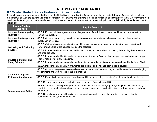## <span id="page-31-0"></span>**8 th Grade: United States History and Civic Ideals**

In eighth grade, students focus on the history of the United States including the American founding and establishment of democratic principles. Students will analyze the powers and civic responsibilities of citizens and examine the origins, functions, and structure of the U.S. government. As a result, students will gain an understanding of historical events in early American history, democratic principles, individual rights, and government institutions.

| <b>Inquiry Anchor</b><br><b>Standard</b>                  | <b>Inquiry Standard</b>                                                                                                                                                                                                                                      |
|-----------------------------------------------------------|--------------------------------------------------------------------------------------------------------------------------------------------------------------------------------------------------------------------------------------------------------------|
| <b>Constructing Compelling</b><br><b>Questions</b>        | SS.8.1. Explain points of agreement and disagreement of disciplinary concepts and ideas associated with a<br>compelling question.                                                                                                                            |
| <b>Constructing Supporting</b><br><b>Questions</b>        | <b>SS.8.2.</b> Construct supporting questions that demonstrate the relationship between them and the compelling<br>question in an inquiry.                                                                                                                   |
| <b>Gathering and Evaluating</b><br><b>Sources</b>         | SS.8.3. Gather relevant information from multiple sources using the origin, authority, structure, context, and<br>corroborative value of the sources to guide the selection.                                                                                 |
|                                                           | SS.8.4. Independently, evaluate the credibility of primary and secondary sources by determining their relevance<br>and intended use.                                                                                                                         |
| <b>Developing Claims and</b>                              | SS.8.5. Independently, identify evidence that draws information from multiple perspectives and sources to support<br>claims, noting evidentiary limitations.                                                                                                 |
| <b>Using Evidence</b>                                     | SS.8.6. Independently, develop claims and counterclaims while pointing out the strengths and limitations of both.                                                                                                                                            |
|                                                           | SS.8.7. Independently, construct arguments using claims and evidence from multiple sources.                                                                                                                                                                  |
| <b>Communicating and</b><br><b>Critiquing Conclusions</b> | SS.8.8. Construct responses to compelling questions supported by reasoning and evidence while acknowledging<br>the strengths and weaknesses of the explanations.                                                                                             |
|                                                           | SS.8.9. Present original arguments based on credible sources using a variety of media to authentic audiences.                                                                                                                                                |
|                                                           | SS.8.10. Independently, analyze disciplinary arguments of peers for credibility.                                                                                                                                                                             |
| <b>Taking Informed Action</b>                             | <b>SS.8.11.</b> Analyze how a specific problem can manifest itself at the local, regional, and global levels over time,<br>identifying its characteristics and causes, and the challenges and opportunities faced by those trying to address<br>the problem. |
|                                                           | SS.8.12. Apply a range of deliberative and democratic procedures to make decisions and take action in<br>classrooms, schools, and communities.                                                                                                               |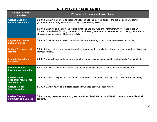| <b>Content Anchor</b><br><b>Standard</b>                            | 8 <sup>th</sup> Grade: US History and Civic Ideals                                                                                                                                                                                                                          |
|---------------------------------------------------------------------|-----------------------------------------------------------------------------------------------------------------------------------------------------------------------------------------------------------------------------------------------------------------------------|
| <b>Analyze Civic and</b><br><b>Political Institutions</b>           | <b>SS.8.13.</b> Explain the powers and responsibilities of citizens, political parties, and the media in a variety of<br>governmental and nongovernmental contexts. (21st century skills)                                                                                   |
|                                                                     | SS.8.14. Examine and explain the origins, functions and structure of government with reference to the US<br>Constitution and other founding documents, branches of government, bureaucracies, and other systems and its<br>effectiveness on citizens. (21st century skills) |
| <b>Engage in Economic</b><br><b>Decision Making</b>                 | SS.8.15. Evaluate how economic decisions affect the wellbeing of individuals, businesses, and society.                                                                                                                                                                      |
| <b>Critique Exchange and</b><br><b>Markets</b>                      | SS.8.16. Analyze the role of innovation and entrepreneurship in institutions throughout early American history in a<br>market economy.                                                                                                                                      |
| <b>Evaluate the National</b><br><b>Economy</b>                      | SS.8.17. Use historical evidence to evaluate the state of regional economies throughout early American history.                                                                                                                                                             |
| <b>Evaluate Human</b><br><b>Environment Interaction</b>             | SS.8.18. Explain how the physical and human characteristics of places and regions influence culture.                                                                                                                                                                        |
| <b>Analyze Human</b><br><b>Population Movements</b><br>and Patterns | SS.8.19. Explain how push and pull factors contributed to immigration and migration in early American history.                                                                                                                                                              |
| <b>Analyze Global</b><br><b>Interconnections</b>                    | SS.8.20. Explain how global interconnections influenced early American history.                                                                                                                                                                                             |
| <b>Analyze Change,</b><br><b>Continuity, and Context</b>            | SS.8.21. Analyze connections among early American historical events and developments in broader historical<br>contexts.                                                                                                                                                     |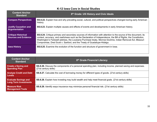| <b>Content Anchor</b><br><b>Standard</b>                  | 8 <sup>th</sup> Grade: US History and Civic Ideals                                                                                                                                                                                                                                                                                                                                                                             |
|-----------------------------------------------------------|--------------------------------------------------------------------------------------------------------------------------------------------------------------------------------------------------------------------------------------------------------------------------------------------------------------------------------------------------------------------------------------------------------------------------------|
| <b>Compare Perspectives</b>                               | SS.8.22. Explain how and why prevailing social, cultural, and political perspectives changed during early American<br>history.                                                                                                                                                                                                                                                                                                 |
| <b>Justify Causation and</b><br>Argumentation             | <b>SS.8.23.</b> Explain multiple causes and effects of events and developments in early American history.                                                                                                                                                                                                                                                                                                                      |
| <b>Critique Historical</b><br><b>Sources and Evidence</b> | SS.8.24. Critique primary and secondary sources of information with attention to the source of the document, its<br>context, accuracy, and usefulness such as the Declaration of Independence, the Bill of Rights, the Constitution,<br>Washington's Farewell address, the Louisiana Purchase treaty, Monroe Doctrine, Indian Removal Act, Missouri<br>Compromise, Dred Scott v. Sanford, and the Treaty of Guadalupe-Hidalgo. |
| <b>Iowa History</b>                                       | <b>SS.8.25.</b> Examine the evolution of the function and structure of government in lowa.                                                                                                                                                                                                                                                                                                                                     |

| <b>Content Anchor</b><br><b>Standard</b>                    | 8 <sup>th</sup> Grade Financial Literacy                                                                                             |
|-------------------------------------------------------------|--------------------------------------------------------------------------------------------------------------------------------------|
| <b>Create a Saving and</b><br><b>Spending Plan</b>          | SS.8.26. Discuss the components of a personal spending plan, including income, planned saving and expenses.<br>(21st century skills) |
| <b>Analyze Credit and Debt</b><br><b>Levels</b>             | <b>SS.8.27.</b> Calculate the cost of borrowing money for different types of goods. (21st century skills)                            |
| <b>Evaluate Savings and</b><br><b>Long Term Investments</b> | SS.8.28. Explain how investing may build wealth and help meet financial goals. (21st century skills)                                 |
| <b>Measure Risk</b><br><b>Management Tools</b>              | SS.8.29. Identify ways insurance may minimize personal financial risk. (21st century skills)                                         |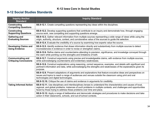# <span id="page-34-0"></span>**9-12 Social Studies Standards**

| <b>Inquiry Anchor</b><br><b>Standard</b>                  | <b>Inquiry Standard</b>                                                                                                                                                                                                                                                                                      |
|-----------------------------------------------------------|--------------------------------------------------------------------------------------------------------------------------------------------------------------------------------------------------------------------------------------------------------------------------------------------------------------|
| Constructing<br><b>Compelling Questions</b>               | SS.9-12.1. Create compelling questions representing key ideas within the disciplines.                                                                                                                                                                                                                        |
| <b>Constructing</b><br><b>Supporting Questions</b>        | SS.9-12.2. Develop supporting questions that contribute to an inquiry and demonstrate how, through engaging<br>source work, new compelling and supporting questions emerge.                                                                                                                                  |
| <b>Gathering and</b><br><b>Evaluating Sources</b>         | SS.9-12.3. Gather relevant information from multiple sources representing a wide range of views while using the<br>origin, authority, structure, context, and corroborative value of the sources to guide the selection.                                                                                     |
|                                                           | SS.9-12.4. Evaluate the credibility of a source by examining how experts value the source.                                                                                                                                                                                                                   |
| <b>Developing Claims and</b><br><b>Using Evidence</b>     | SS.9-12.5. Identify evidence that draws information directly and substantively from multiple sources to detect<br>inconsistencies in evidence in order to revise or strengthen claims.                                                                                                                       |
|                                                           | SS.9-12.6. Refine claims and counterclaims attending to precision, significance, and knowledge conveyed through<br>the claim while pointing out the strengths and limitations of both.                                                                                                                       |
| <b>Communicating and</b><br><b>Critiquing Conclusions</b> | SS.9-12.7. Construct arguments using precise and knowledgeable claims, with evidence from multiple sources,<br>while acknowledging counterclaims and evidentiary weaknesses.                                                                                                                                 |
|                                                           | SS.9-12.8. Construct explanations using reasoning, correct sequence, examples, and details with significant and<br>pertinent information and data, while acknowledging the strengths and weaknesses of the explanations given its<br>purpose.                                                                |
|                                                           | SS.9-12.9. Present adaptations of arguments and explanations that feature evocative ideas and perspectives on<br>issues and topics to reach a range of audiences and venues outside the classroom using print and oral<br>technologies and digital technologies.                                             |
|                                                           | SS.9-12.10. Critique the use of claims and evidence in arguments for credibility.                                                                                                                                                                                                                            |
| <b>Taking Informed Action</b>                             | SS.9-12.11. Use disciplinary and interdisciplinary lenses to understand the characteristics and causes of local,<br>regional, and global problems; instances of such problems in multiple contexts; and challenges and opportunities<br>faced by those trying to address these problems over time and place. |
|                                                           | SS.9-12.12. Apply a range of deliberative and democratic strategies and procedures to make decisions and take<br>action in their classrooms, schools, and out-of-school contexts.                                                                                                                            |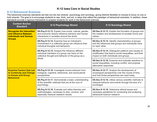#### <span id="page-35-0"></span>**9-12 Behavioral Sciences**

The behavioral sciences standards are laid out into two strands- psychology and sociology, giving districts flexibility to choose to focus on one or both strands. The goal is to encourage students to see, think, and act, in ways that reflect the paradigm of behavioral scientists. In addition, these standards provide a rigorous framework to prepare students for work in the behavioral sciences.

| <b>Content Anchor</b><br><b>Standard</b>                                                                     | 9-12 Psychology Strand                                                                                                                                          | 9-12 Sociology Strand                                                                                                                                      |
|--------------------------------------------------------------------------------------------------------------|-----------------------------------------------------------------------------------------------------------------------------------------------------------------|------------------------------------------------------------------------------------------------------------------------------------------------------------|
| <b>Recognize the Interaction</b><br>and Influence Between<br><b>Individuals and Various</b><br><b>Groups</b> | SS.Psy.9-12.13. Explain how social, cultural, gender,<br>and economic factors influence behavior and human<br>interactions in societies around the world.       | SS.Soc.9-12.13. Explain the formation of groups and<br>the creation and development of societal norms and<br>values.                                       |
|                                                                                                              | SS.Psy.9-12.14. Examine how an individual's<br>involvement in a collective group can influence their<br>individual thoughts and behaviors.                      | SS.Soc.9-12.14. Identify characteristics of groups,<br>and the influences that groups and individuals have<br>on each other.                               |
|                                                                                                              | SS.Psy.9-12.15. Analyze the influence different<br>individual members of a group can have on the<br>collective thought and behavior of the group as a<br>whole. | SS.Soc.9-12.15. Distinguish patterns and causes of<br>stratification that lead to social inequalities, and their<br>impact on both individuals and groups. |
|                                                                                                              |                                                                                                                                                                 | SS.Soc.9-12.16. Examine and evaluate reactions to<br>social inequalities, including conflict, and propose<br>alternative responses.                        |
| <b>Examine Factors that Led</b><br>to Continuity and Change<br>in Human and Group<br><b>Behavioral</b>       | SS.Psy.9-12.16. Investigate human behavior from<br>biological, cognitive, behavioral, and sociocultural<br>perspectives.                                        | SS.Soc.9-12.17. Analyze the development of<br>sociological perspectives over the course of time,<br>and how those perspectives are used today.             |
|                                                                                                              | SS.Psy.9-12.17. Demonstrate a basic understanding<br>of the scientific methods that are at the core of<br>psychology.                                           | <b>SS.Soc.9-12.18.</b> Utilize various scientific methods to<br>interpret behavior and events through the lens of a<br>sociologist.                        |
|                                                                                                              | SS.Psy.9-12.18. Evaluate and utilize theories and<br>methodologies, necessary to plan, conduct, and<br>especially interpret research results.                   | <b>SS.Soc.9-12.19.</b> Determine ethical issues and<br>necessary guidelines for conducting and analyzing<br>behavioral science research.                   |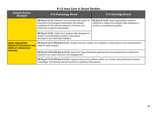| <b>Content Anchor</b><br><b>Standard</b>                                                                        | 9-12 Psychology Strand                                                                                                                                                                         | 9-12 Sociology Strand                                                                                                            |
|-----------------------------------------------------------------------------------------------------------------|------------------------------------------------------------------------------------------------------------------------------------------------------------------------------------------------|----------------------------------------------------------------------------------------------------------------------------------|
|                                                                                                                 | SS.Psy.9-12.19. Adhere to and consider the impact of<br>American Psychological Association and federal<br>guidelines for the ethical treatment of human and<br>nonhuman research participants. | SS.Soc.9-12.20. Apply appropriate research<br>methods to collect and analyze data designed to<br>answer a sociological question. |
|                                                                                                                 | SS.Psy.9-12.20. Collect and analyze data designed to<br>answer a psychological question using basic<br>descriptive and inferential statistics.                                                 |                                                                                                                                  |
| <b>Apply Appropriate</b><br><b>Research Procedures and</b><br><b>Skills of a Behavioral</b><br><b>Scientist</b> | SS.Psy.9-12.21./SS.Soc.9-12.21. Explain how the validity and reliability of observations and measurements<br>relate to data analysis.                                                          |                                                                                                                                  |
|                                                                                                                 | SS.Psy.9-12.22./SS.Soc.9-12.22. Apply the major theoretical approaches and perspectives in behavioral<br>science to our daily lives and civic engagement.                                      |                                                                                                                                  |
|                                                                                                                 | SS.Psy.9-12.23./SS.Soc.9-12.23. Assess issues and problems within our society using behavioral science<br>knowledge, and develop ethical solutions to address those issues.                    |                                                                                                                                  |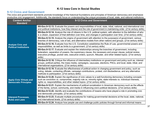#### <span id="page-37-0"></span>**9-12 Civics and Government**

The civics and government standards promote knowledge of the historical foundations and principles of American democracy and emphasize productive civic engagement. Additionally, the standards focus on understanding the unique processes of local, state, and national institutions.

| <b>Content Anchor</b><br><b>Standard</b>                       | 9-12 Civics and Government                                                                                                                                                                                                                                                                                                                    |
|----------------------------------------------------------------|-----------------------------------------------------------------------------------------------------------------------------------------------------------------------------------------------------------------------------------------------------------------------------------------------------------------------------------------------|
|                                                                | SS-Gov.9-12.13. Evaluate the powers and responsibilities of local, state, tribal, national, and international civic<br>and political institutions, how they interact and the role of government in maintaining order. (21st century skills)                                                                                                   |
|                                                                | SS-Gov.9-12.14. Analyze the role of citizens in the U.S. political system, with attention to the definition of who<br>is a citizen, expansion of that definition over time, and changes in participation over time. (21st century skills)                                                                                                     |
|                                                                | SS-Gov.9-12.15. Analyze the origins of government with attention to the purpose(s) of government, various<br>theories of democracy, rule of law, and alternative models from other nations and groups. (21st century skills)                                                                                                                  |
| <b>Analyze Civic and</b><br><b>Political Institutions</b>      | SS-Gov.9-12.16. Evaluate how the U.S. Constitution establishes the Rule of Law, governmental powers and<br>responsibilities, as well as limits to a government. (21st century skills)                                                                                                                                                         |
|                                                                | SS-Gov.9-12.17. Evaluate and explain the relationships among the branches of government, including<br>federalism, separation of powers, the supremacy clause, the necessary and proper clause, judicial review,<br>executive privilege, pocket veto, executive orders, quorum, filibuster, and other related topics. (21st century<br>skills) |
|                                                                | SS-Gov.9-12.18. Critique the influence of intermediary institutions on government and policy such as, interest<br>groups, political parties, the mass media, campaigns, caucuses, elections, PACs, and local, state, tribal, and<br>international organizations. (21st century skills)                                                        |
| <b>Apply Civic Virtues and</b><br><b>Democratic Principles</b> | SS-Gov.9-12.19. Evaluate the effectiveness of political action in changing government and policy, such as<br>voting, debate, contacting officials, campaign contributions, protest, civil disobedience, and any alternative<br>methods to participation. (21st century skills)                                                                |
|                                                                | SS-Gov.9-12.20. Explain the significance of civic values to a well-functioning democracy including concepts<br>such as conviction vs. compromise, majority rule vs. minority rights, state interests vs. individual interests,<br>rights vs. responsibilities, and other related topics. (21st century skills)                                |
|                                                                | SS-Gov.9-12.21. Explain the mechanisms of political socialization in American democracy such as the effects<br>of the family, school, community, and media in influencing one's political decisions. (21st century skills)                                                                                                                    |
|                                                                | SS-Gov.9-12.22. Identify and evaluate the contributions of lowans who have played a role in promoting civic<br>and democratic principles. (21st century skills)                                                                                                                                                                               |
| <b>Interpret Processes,</b><br><b>Rules and Laws</b>           | SS-Gov.9-12.23. Evaluate multiple procedures for making governmental decisions at the local, state, national,<br>and international levels. (21st century skills)                                                                                                                                                                              |
|                                                                | SS-Gov.9-12.24. Analyze how people use and challenge public policies through formal and informal means                                                                                                                                                                                                                                        |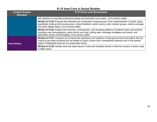| <b>Content Anchor</b><br><b>Standard</b> | 9-12 Civics and Government                                                                                                                                                                                                                                                           |
|------------------------------------------|--------------------------------------------------------------------------------------------------------------------------------------------------------------------------------------------------------------------------------------------------------------------------------------|
|                                          | with attention to important judicial processes and landmark court cases. (21st century skills)                                                                                                                                                                                       |
|                                          | SS-Gov.9-12.25. Evaluate the intended and unintended consequences of the implementation of public policy,<br>specifically looking at the bureaucracy, citizen feedback, public opinion polls, interest groups, media coverage,<br>and other related topics. (21st century skills)    |
|                                          | SS-Gov.9-12.26. Analyze the historical, contemporary, and emerging patterns of political action and activism<br>including voter demographics, party trends over time, polling data, campaign strategies and trends, and<br>alternative means of participating. (21st century skills) |
| <b>Iowa History</b>                      | SS-Gov.9-12.27. Compare and contrast the institutions and systems of lowa government and politics that are<br>unique to the state including but not limited to lowa's unique role in presidential selection and in the special<br>status of Meskwaki lands as non-reservation lands. |
|                                          | SS-Gov.9-12.28. Identify local and state issues in lowa and evaluate formal or informal courses of action used<br>to affect policy.                                                                                                                                                  |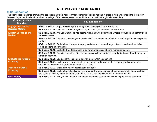#### <span id="page-39-0"></span>**9-12 Economics**

The economics standards promote the concepts and tools necessary for economic decision making in order to help understand the interaction between buyers and sellers in markets, workings of the national economy, and interactions within the global marketplace.

| <b>Content Anchor</b><br><b>Standard</b>       | 9-12 Economics                                                                                                                                                                                                    |
|------------------------------------------------|-------------------------------------------------------------------------------------------------------------------------------------------------------------------------------------------------------------------|
| <b>Engage in Economic</b>                      | <b>SS-Econ.9-12.13.</b> Apply the concept of scarcity when making economic decisions.                                                                                                                             |
| <b>Decision Making</b>                         | SS-Econ.9-12.14. Use cost-benefit analysis to argue for or against an economic decision.                                                                                                                          |
| <b>Explain Exchange and</b><br><b>Markets</b>  | SS-Econ.9-12.15. Analyze what goes into determining, and who determines, what is produced and distributed in<br>a market system.                                                                                  |
|                                                | SS-Econ.9-12.16. Describe how changes in the level of competition can affect price and output levels in specific<br>markets.                                                                                      |
|                                                | SS-Econ.9-12.17. Explain how changes in supply and demand cause changes of goods and services, labor,<br>credit, and foreign currencies.                                                                          |
|                                                | <b>SS-Econ.9-12.18.</b> Evaluate the effectiveness of government policies altering market outcomes.                                                                                                               |
|                                                | SS-Econ.9-12.19. Describe the roles of institutions such as clearly defined property rights and the rule of law in<br>a market economy.                                                                           |
| <b>Evaluate the National</b><br><b>Economy</b> | <b>SS-Econ.9-12.20.</b> Use economic indicators to evaluate economic conditions.                                                                                                                                  |
|                                                | SS-Econ.9-12.21. Explain why advancements in technology and investments in capital goods and human<br>capital increase economic growth and standards of living.                                                   |
| <b>Assess the Global</b><br><b>Economy</b>     | SS-Econ.9-12.22. Explain the role of specialization in trade.                                                                                                                                                     |
|                                                | SS-Econ.9-12.23. Explain how globalization has impacted various aspects of economic growth, labor markets,<br>and rights of citizens, the environment, and resource and income distribution in different nations. |
| <b>Iowa History</b>                            | SS-Econ.9-12.24. Analyze how national and global economic issues and systems impact lowa's economy.                                                                                                               |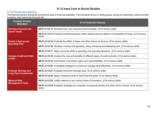#### <span id="page-40-0"></span>**9-12 Financial Literacy**

The financial literacy standards promote the goal of financial capability. The standards focus on setting goals, saving and spending, credit and debt, investing, and measuring financial risk.

| <b>Content Anchor</b><br><b>Standard</b>                    | 9-12 Financial Literacy                                                                                                     |
|-------------------------------------------------------------|-----------------------------------------------------------------------------------------------------------------------------|
| <b>Develop Financial and</b><br><b>Career Goals</b>         | <b>SS-FL.9-12.13.</b> Develop short- and long-term financial goals. (21st century skills)                                   |
|                                                             | SS-FL.9-12.14. Evaluate entrepreneurship, career choices and the effect on the standard of living. (21st century<br>skills) |
| <b>Create a Saving and</b>                                  | SS-FL.9-12.15. Evaluate the effect of taxes and other factors on income. (21st century skills)                              |
| <b>Spending Plan</b>                                        | <b>SS-FL.9-12.16.</b> Develop a saving and spending, using a financial recordkeeping tool. (21st century skills)            |
|                                                             | <b>SS-FL.9-12.17.</b> Apply consumer skills to spending and spending decisions. (21st century skills)                       |
| <b>Analyze Credit and Debt</b>                              | SS-FL.9-12.18. Analyze the cost and benefits of different types of credit and debt. (21st century skills)                   |
| <b>Levels</b>                                               | <b>SS-FL.9-12.19.</b> Summarize a borrower's rights and responsibilities. (21st century skills)                             |
|                                                             | <b>SS-FL.9-12.20.</b> Investigate strategies to avoid and manage debt effectively. (21st century skills)                    |
| <b>Evaluate Savings and</b><br><b>Long Term Investments</b> | <b>SS-FL.9-12.21.</b> Evaluate short-term savings tools. (21st century skills)                                              |
|                                                             | <b>SS-FL.9-12.22.</b> Apply investment tools to meet financial goals. (21st century skills)                                 |
| <b>Measure Risk</b><br><b>Management Tools</b>              | <b>SS-FL.9-12.23.</b> Justify reasons to use various forms of insurance. (21st century skills)                              |
|                                                             | SS-FL.9-12.24. Establish strategies for protection of personal identity and other forms of fraud. (21st century<br>skills)  |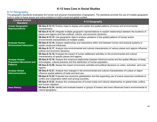#### <span id="page-41-0"></span>**9-12 Geography**

The geography standards emphasize the human and physical characteristics of geography. The standards promote the use of multiple geographic tools in order to frame issues and solve problems in both a local and global context.

| <b>Content Anchor</b><br><b>Standard</b>                | 9-12 Geography                                                                                                                                                                                  |
|---------------------------------------------------------|-------------------------------------------------------------------------------------------------------------------------------------------------------------------------------------------------|
| <b>Create Geographic</b><br><b>Representations</b>      | SS-Geo.9-12.13. Employ maps to display and explain the spatial patterns of human and environmental<br>characteristics.                                                                          |
|                                                         | SS-Geo.9-12.14. Integrate multiple geographic representations to explain relationships between the locations of<br>places and regions and their political, cultural, and economic dynamics.     |
|                                                         | SS-Geo.9-12.15. Use geographic data to analyze variations in the spatial patterns of human and/or<br>environmental characteristics at multiple scales.                                          |
| <b>Evaluate Human</b><br><b>Environment Interaction</b> | SS-Geo.9-12.16. Analyze relationships and interactions within and between human and physical systems to<br>explain reciprocal influences.                                                       |
|                                                         | SS-Geo.9-12.17. Analyze how environmental and cultural characteristics of various places and regions influence<br>political and economic decisions.                                             |
|                                                         | SS-Geo.9-12.18. Evaluate the impact of human settlement activities on the environmental and cultural<br>characteristics of specific places and regions.                                         |
| <b>Analyze Human</b><br><b>Population Movement and</b>  | SS-Geo.9-12.19. Analyze the reciprocal relationship between historical events and the spatial diffusion of ideas,<br>technologies, cultural practices and the distribution of human population. |
| <b>Patterns</b>                                         | SS-Geo.9-12.20. Assess the impact of economic activities and political decisions on urban, suburban, and rural<br>regions.                                                                      |
| <b>Analyze Global</b><br><b>Interconnections</b>        | SS-Geo.9-12.21. Analyze how changes in the environmental and cultural characteristics of a place or region<br>influence spatial patterns of trade and land use.                                 |
|                                                         | SS-Geo.9-12.22. Evaluate how economic globalization and the expanding use of scarce resources contribute to<br>conflict and cooperation within and among countries.                             |
|                                                         | SS-Geo.9-12.23. Analyze the consequences of human-made and natural catastrophes on global trade, politics,<br>and human migration.                                                              |
| <b>Iowa History</b>                                     | SS-Geo.9-12.24. Identify and evaluate lowans or groups of lowans who have influenced lowa's environmental or<br>cultural geography.                                                             |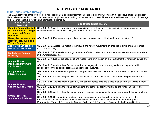#### <span id="page-42-0"></span>**9-12 United States History**

The U.S. history standards promote both historical content and historical thinking skills to prepare students with a strong foundation in significant historical content and with the skills necessary to apply historical thinking to any historical context. These are the skills required not only for college and career success, but for effective democratic citizenship.

| <b>Content Anchor</b><br><b>Standard</b>                                                             | 9-12 United States History                                                                                                                                                                                                                                                                                                    |
|------------------------------------------------------------------------------------------------------|-------------------------------------------------------------------------------------------------------------------------------------------------------------------------------------------------------------------------------------------------------------------------------------------------------------------------------|
| <b>Examine Factors that Led</b><br>to Continuity and Change<br>in Human and Group<br><b>Behavior</b> | SS-US.9-12.13. Analyze how diverse ideologies impacted political and social institutions during eras such as<br>Reconstruction, the Progressive Era, and the Civil Rights movement.                                                                                                                                           |
| <b>Recognize the Interaction</b><br><b>Between Individuals and</b><br><b>Various Groups</b>          | SS-US.9-12.14. Evaluate the impact of gender roles on economic, political, and social life in the U.S.                                                                                                                                                                                                                        |
| <b>Apply Civic Virtues and</b><br><b>Democratic Principles</b>                                       | SS-US.9-12.15. Assess the impact of individuals and reform movements on changes to civil rights and liberties.<br>(21st century skills)                                                                                                                                                                                       |
| <b>Evaluate the National</b><br><b>Economy</b>                                                       | SS-US.9-12.16. Examine labor and governmental efforts to reform and/or maintain a capitalistic economic system<br>in the Great Depression.                                                                                                                                                                                    |
| <b>Analyze Human</b><br><b>Population Movement</b><br>and Patterns                                   | SS-US.9-12.17. Explain the patterns of and responses to immigration on the development of American culture and<br>law.                                                                                                                                                                                                        |
|                                                                                                      | SS-US.9-12.18. Analyze the effects of urbanization, segregation, and voluntary and forced migration within<br>regions of the U.S. on social, political, and economic structures.                                                                                                                                              |
| <b>Analyze Global</b><br><b>Interconnections</b>                                                     | SS-US.9-12.19. Examine how imperialism changed the role of the United States on the world stage prior to World<br>War I.                                                                                                                                                                                                      |
|                                                                                                      | SS-US.9-12.20. Analyze the growth of and challenges to U.S. involvement in the world in the post-World War II<br>era.                                                                                                                                                                                                         |
| <b>Analyze Change,</b>                                                                               | SS-US.9-12.21. Analyze change, continuity and context across eras and places of study from civil war to modern<br>America.                                                                                                                                                                                                    |
| <b>Continuity, and Context</b>                                                                       | SS-US.9-12.22. Evaluate the impact of inventions and technological innovations on the American society and<br>culture.                                                                                                                                                                                                        |
|                                                                                                      | SS-US.9-12.23. Analyze the relationship between historical sources and the secondary interpretations made from<br>them.                                                                                                                                                                                                       |
| <b>Critique Historical</b><br><b>Sources and Evidence</b>                                            | SS-US.9-12.24. Critique primary and secondary sources of information with attention to the source of the<br>document, its context, accuracy, and usefulness such as the Reconstruction amendments, Emancipation<br>Proclamation, Treaty of Fort Laramie, Chinese Exclusion Act, Roosevelt's Corollary to the Monroe Doctrine, |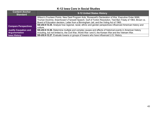| <b>Content Anchor</b><br><b>Standard</b> | 9-12 United States History                                                                                   |
|------------------------------------------|--------------------------------------------------------------------------------------------------------------|
|                                          | Wilson's Fourteen Points, New Deal Program Acts, Roosevelt's Declaration of War, Executive Order 9066,       |
|                                          | Truman Doctrine, Eisenhower's Farewell Speech, Gulf of Tonkin Resolution, Test Ban Treaty of 1963, Brown vs. |
|                                          | Board of Education decision, Letter from a Birmingham Jail, and the Voting Act of 1965.                      |
| <b>Compare Perspectives</b>              | SS-US.9-12.25. Analyze how regional, racial, ethnic and gender perspectives influenced American history and  |
|                                          | culture.                                                                                                     |
| <b>Justify Causation and</b>             | SS-US.9-12.26. Determine multiple and complex causes and effects of historical events in American history    |
| <b>Argumentation</b>                     | including, but not limited to, the Civil War, World War I and II, the Korean War and the Vietnam War.        |
| <b>Iowa History</b>                      | SS-US.9-12.27. Evaluate lowans or groups of lowans who have influenced U.S. History.                         |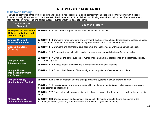#### <span id="page-44-0"></span>**9-12 World History**

The world history standards promote an emphasis on both historical content and historical thinking skills to prepare students with a strong foundation in significant history content, and with the skills necessary to apply historical thinking to any historical context. These are the skills required not only for college and career success, but for effective global citizenship.

| <b>Content Anchor</b><br><b>Standard</b>                                                    | 9-12 World History                                                                                                                                                                                                  |
|---------------------------------------------------------------------------------------------|---------------------------------------------------------------------------------------------------------------------------------------------------------------------------------------------------------------------|
| <b>Recognize the Interaction</b><br><b>Between Individuals and</b><br><b>Various Groups</b> | <b>SS-WH.9-12.13.</b> Describe the impact of culture and institutions on societies.                                                                                                                                 |
| <b>Analyze Civic and</b><br><b>Political Institutions</b>                                   | <b>SS-WH.9-12.14.</b> Compare various systems of government, such as monarchies, democracies/republics, empires,<br>and dictatorships, and their methods of maintaining order and/or control. (21st century skills) |
| <b>Assess the Global</b><br><b>Economy</b>                                                  | SS-WH.9-12.15. Compare and contrast various economic and labor systems within and across societies.                                                                                                                 |
|                                                                                             | SS-WH.9-12.16. Examine the ways in which trade, commerce, and industrialization affected societies.                                                                                                                 |
| <b>Analyze Global</b><br><b>Interconnections</b>                                            | SS-WH.9-12.17. Evaluate the consequences of human made and natural catastrophes on global trade, politics,<br>and human migration.                                                                                  |
|                                                                                             | SS-WH.9-12.18. Assess impact of conflict and diplomacy on international relations.                                                                                                                                  |
| <b>Analyze Human</b><br><b>Population Movement</b><br>and Patterns                          | SS-WH.9-12.19. Explain the influence of human migrations on patterns of settlement and culture.                                                                                                                     |
| <b>Analyze Change,</b><br><b>Continuity, and Context</b>                                    | SS-WH.9-12.20. Evaluate methods used to change or expand systems of power and/or authority.                                                                                                                         |
|                                                                                             | SS-WH.9-12.21. Investigate cultural advancements within societies with attention to belief systems, ideologies,<br>the arts, science and technology.                                                                |
|                                                                                             | SS-WH.9-12.22. Analyze the influence of social, political and economic developments on gender roles and social<br>status.                                                                                           |
| <b>Critique Historical</b><br><b>Sources and Evidence</b>                                   | SS-WH.9-12.23. Critique primary and secondary sources of information with attention to the source of the<br>document, its context, accuracy, and usefulness of sources throughout world history.                    |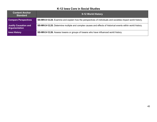| <b>Content Anchor</b><br><b>Standard</b>             | 9-12 World History                                                                                          |
|------------------------------------------------------|-------------------------------------------------------------------------------------------------------------|
| <b>Compare Perspectives</b>                          | SS-WH.9-12.24. Examine and explain how the perspectives of individuals and societies impact world history.  |
| <b>Justify Causation and</b><br><b>Argumentation</b> | SS-WH.9-12.25. Determine multiple and complex causes and effects of historical events within world history. |
| <b>Iowa History</b>                                  | <b>SS-WH.9-12.26.</b> Assess lowans or groups of lowans who have influenced world history.                  |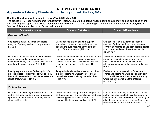## <span id="page-46-0"></span>**K-12 Iowa Core in Social Studies Appendix – Literacy Standards for History/Social Studies, 6-12**

#### **Reading Standards for Literacy in History/Social Studies 6-12**

The grades 6–12 Reading Standards for Literacy in History/Social Studies define what students should know and be able to do by the end of each grade span. Note: These standards are also listed in the Iowa Core English Language Arts & Literacy in History/Social Studies, Science, and Technical Subjects document.

| <b>Grade 6-8 students:</b>                                                                                                                                                              | <b>Grade 9-10 students:</b>                                                                                                                                                                       | <b>Grade 11-12 students:</b>                                                                                                                                                                                                                        |
|-----------------------------------------------------------------------------------------------------------------------------------------------------------------------------------------|---------------------------------------------------------------------------------------------------------------------------------------------------------------------------------------------------|-----------------------------------------------------------------------------------------------------------------------------------------------------------------------------------------------------------------------------------------------------|
| <b>Key Ideas and Details</b>                                                                                                                                                            |                                                                                                                                                                                                   |                                                                                                                                                                                                                                                     |
| Cite specific textual evidence to support<br>analysis of primary and secondary sources.<br>$(RH.6-8.1)$                                                                                 | Cite specific textual evidence to support<br>analysis of primary and secondary sources,<br>attending to such features as the date and<br>origin of the information. (RH.9-10.1)                   | Cite specific textual evidence to support<br>analysis of primary and secondary sources,<br>connecting insights gained from specific details<br>to an understanding of the text as a whole.<br>$(RH.11-12.1)$                                        |
| Determine the central ideas or information of a<br>primary or secondary source; provide an<br>accurate summary of the source distinct from<br>prior knowledge or opinions. (RH.6-8.2)   | Determine the central ideas or information of a<br>primary or secondary source; provide an<br>accurate summary of how key events or ideas<br>develop over the course of the text. (RH.9-<br>10.2) | Determine the central ideas or information of a<br>primary or secondary source; provide an<br>accurate summary that makes clear the<br>relationships among the key details and ideas.<br>$(RH.11-12.2)$                                             |
| Identify key steps in a text's description of a<br>process related to history/social studies (e.g.,<br>how a bill becomes law, how interest rates are<br>raised or lowered). (RH.6-8.3) | Analyze in detail a series of events described<br>in a text; determine whether earlier events<br>caused later ones or simply preceded them.<br>$(RH.9-10.3)$                                      | Evaluate various explanations for actions or<br>events and determine which explanation best<br>accords with textual evidence, acknowledging<br>where the text leaves matters uncertain.<br>$(RH.11-12.3)$                                           |
| <b>Craft and Structure</b>                                                                                                                                                              |                                                                                                                                                                                                   |                                                                                                                                                                                                                                                     |
| Determine the meaning of words and phrases<br>as they are used in a text, including vocabulary<br>specific to domains related to history/social<br>studies. (RH.6-8.4)                  | Determine the meaning of words and phrases<br>as they are used in a text, including vocabulary<br>describing political, social, or economic<br>aspects of history/social studies. (RH.9-10.4)     | Determine the meaning of words and phrases<br>as they are used in a text, including analyzing<br>how an author uses and refines the meaning of<br>a key term over the course of a text (e.g., how<br>Madison defines faction in Federalist No. 10). |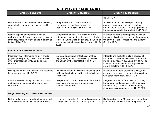| <b>Grade 6-8 students:</b>                                                                                                                                           | <b>Grade 9-10 students:</b>                                                                                                                                                                               | Grade 11-12 students:                                                                                                                                                                                                           |  |
|----------------------------------------------------------------------------------------------------------------------------------------------------------------------|-----------------------------------------------------------------------------------------------------------------------------------------------------------------------------------------------------------|---------------------------------------------------------------------------------------------------------------------------------------------------------------------------------------------------------------------------------|--|
|                                                                                                                                                                      |                                                                                                                                                                                                           | $(RH.11-12.4)$                                                                                                                                                                                                                  |  |
| Describe how a text presents information (e.g.,<br>sequentially, comparatively, causally). (RH.6-<br>8.5)                                                            | Analyze how a text uses structure to<br>emphasize key points or advance an<br>explanation or analysis. (RH.9-10.5)                                                                                        | Analyze in detail how a complex primary<br>source is structured, including how key<br>sentences, paragraphs, and larger portions of<br>the text contribute to the whole. (RH.11-12.5)                                           |  |
| Identify aspects of a text that reveal an<br>author's point of view or purpose (e.g., loaded<br>language, inclusion or avoidance of particular<br>facts). (RH.6-8.6) | Compare the point of view of two or more<br>authors for how they treat the same or similar<br>topics, including which details they include and<br>emphasize in their respective accounts. (RH.9-<br>10.6) | Evaluate authors' differing points of view on<br>the same historical event or issue by assessing<br>the authors' claims, reasoning, and evidence.<br>(RH.11-12.6)                                                               |  |
| <b>Integration of Knowledge and Ideas</b>                                                                                                                            |                                                                                                                                                                                                           |                                                                                                                                                                                                                                 |  |
| Integrate visual information (e.g., in charts,<br>graphs, photographs, videos, or maps) with<br>other information in print and digital texts.<br>$(RH.6-8.7)$        | Integrate quantitative or technical analysis<br>(e.g., charts, research data) with qualitative<br>analysis in print or digital text. (RH.9-10.7)                                                          | Integrate and evaluate multiple sources of<br>information presented in diverse formats and<br>media (e.g., visually, quantitatively, as well as<br>in words) in order to address a question or<br>solve a problem. (RH.11-12.7) |  |
| Distinguish among fact, opinion, and reasoned<br>judgment in a text. (RH.6-8.8)                                                                                      | Assess the extent to which the reasoning and<br>evidence in a text support the author's claims.<br>$(RH.9-10.8)$                                                                                          | Evaluate an author's premises, claims, and<br>evidence by corroborating or challenging them<br>with other information. (RH.11-12.8)                                                                                             |  |
| Analyze the relationship between a primary<br>and secondary source on the same topic.<br>$(RH.6-8.9)$                                                                | Compare and contrast treatments of the same<br>topic in several primary and secondary<br>sources. (RH.9-10.9)                                                                                             | Integrate information from diverse sources,<br>both primary and secondary, into a coherent<br>understanding of an idea or event, noting<br>discrepancies among sources. (RH.11-12.9)                                            |  |
| <b>Range of Reading and Level of Text Complexity</b>                                                                                                                 |                                                                                                                                                                                                           |                                                                                                                                                                                                                                 |  |
| By the end of grade 8, read and comprehend<br>history/social studies texts in the grades 6-8                                                                         | By the end of grade 10, read and comprehend<br>history/social studies texts in the grades 9-10                                                                                                            | By the end of grade 12, read and comprehend<br>history/social studies texts in the grades 11-                                                                                                                                   |  |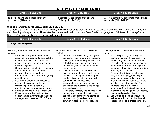| Grade 6-8 students:                    | Grade 9-10 students:                   | Grade 11-12 students:                      |
|----------------------------------------|----------------------------------------|--------------------------------------------|
| text complexity band independently and | text complexity band independently and | CCR text complexity band independently and |
| proficiently. (RH.6-8.10)              | proficiently. (RH.9-10.10)             | proficiently. (RH.11-12.10)                |

#### **Writing Standards for History/Social Studies, 6-12**

The grades 6–12 Writing Standards for Literacy in History/Social Studies define what students should know and be able to do by the end of each grade span. Note: These standards are also listed in the Iowa Core English Language Arts & Literacy in History/Social Studies, Science, and Technical Subjects document.

| Grade 6-8 students:                                                                                                                                                                                                                                                                                                                                                                                                                                                                                                                                                                                                                                                                                                                                                  | Grade 9-10 students:                                                                                                                                                                                                                                                                                                                                                                                                                                                                                                                                                                                                                                                                                                                                                                                                                 | <b>Grade 11-12 students:</b>                                                                                                                                                                                                                                                                                                                                                                                                                                                                                                                                                                                                                                                                                                                                                                                                             |
|----------------------------------------------------------------------------------------------------------------------------------------------------------------------------------------------------------------------------------------------------------------------------------------------------------------------------------------------------------------------------------------------------------------------------------------------------------------------------------------------------------------------------------------------------------------------------------------------------------------------------------------------------------------------------------------------------------------------------------------------------------------------|--------------------------------------------------------------------------------------------------------------------------------------------------------------------------------------------------------------------------------------------------------------------------------------------------------------------------------------------------------------------------------------------------------------------------------------------------------------------------------------------------------------------------------------------------------------------------------------------------------------------------------------------------------------------------------------------------------------------------------------------------------------------------------------------------------------------------------------|------------------------------------------------------------------------------------------------------------------------------------------------------------------------------------------------------------------------------------------------------------------------------------------------------------------------------------------------------------------------------------------------------------------------------------------------------------------------------------------------------------------------------------------------------------------------------------------------------------------------------------------------------------------------------------------------------------------------------------------------------------------------------------------------------------------------------------------|
| <b>Text Types and Purposes</b>                                                                                                                                                                                                                                                                                                                                                                                                                                                                                                                                                                                                                                                                                                                                       |                                                                                                                                                                                                                                                                                                                                                                                                                                                                                                                                                                                                                                                                                                                                                                                                                                      |                                                                                                                                                                                                                                                                                                                                                                                                                                                                                                                                                                                                                                                                                                                                                                                                                                          |
| Write arguments focused on discipline-specific<br>content.<br>a. Introduce claim(s) about a topic or<br>issue, acknowledge and distinguish the<br>claim(s) from alternate or opposing<br>claims, and organize the reasons and<br>evidence logically.<br>b. Support claim(s) with logical reasoning<br>and relevant, accurate data and<br>evidence that demonstrate an<br>understanding of the topic or text, using<br>credible sources.<br>c. Use words, phrases, and clauses to<br>create cohesion and clarify the<br>relationships among claim(s),<br>counterclaims, reasons, and evidence.<br>d. Establish and maintain a formal style.<br>e. Provide a concluding statement or<br>section that follows from and supports<br>the argument presented. (WHST.6-8.1) | Write arguments focused on discipline-specific<br>content.<br>a. Introduce precise claim(s), distinguish<br>the claim(s) from alternate or opposing<br>claims, and create an organization that<br>establishes clear relationships among<br>the claim(s), counterclaims, reasons,<br>and evidence.<br>Develop claim(s) and counterclaims<br>b.<br>fairly, supplying data and evidence for<br>each while pointing out the strengths<br>and limitations of both claim(s) and<br>counterclaims in a discipline-<br>appropriate form and in a manner that<br>anticipates the audience's knowledge<br>level and concerns.<br>Use words, phrases, and clauses to link<br>$C_{1}$<br>the major sections of the text, create<br>cohesion, and clarify the relationships<br>between claim(s) and reasons,<br>between reasons and evidence, and | Write arguments focused on discipline-specific<br>content.<br>Introduce precise, knowledgeable<br>a.<br>claim(s), establish the significance of<br>the claim(s), distinguish the claim(s)<br>from alternate or opposing claims, and<br>create an organization that logically<br>sequences the claim(s), counterclaims,<br>reasons, and evidence.<br>b. Develop claim(s) and counterclaims<br>fairly and thoroughly, supplying the<br>most relevant data and evidence for<br>each while pointing out the strengths<br>and limitations of both claim(s) and<br>counterclaims in a discipline-<br>appropriate form that anticipates the<br>audience's knowledge level, concerns,<br>values, and possible biases.<br>Use words, phrases, and clauses as<br>well as varied syntax to link the major<br>sections of the text, create cohesion, |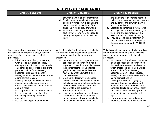| <b>Grade 6-8 students:</b>                                                                                                                                                                                                                                                                                                                                                                                                                                                                                                                                                                                                                                                                                                                                                                               | Grade 9-10 students:                                                                                                                                                                                                                                                                                                                                                                                                                                                                                                                                                                                                                                                                                                                                                                                                                            | Grade 11-12 students:                                                                                                                                                                                                                                                                                                                                                                                                                                                                                                                                                                                                                                                                                                                                                                                                  |
|----------------------------------------------------------------------------------------------------------------------------------------------------------------------------------------------------------------------------------------------------------------------------------------------------------------------------------------------------------------------------------------------------------------------------------------------------------------------------------------------------------------------------------------------------------------------------------------------------------------------------------------------------------------------------------------------------------------------------------------------------------------------------------------------------------|-------------------------------------------------------------------------------------------------------------------------------------------------------------------------------------------------------------------------------------------------------------------------------------------------------------------------------------------------------------------------------------------------------------------------------------------------------------------------------------------------------------------------------------------------------------------------------------------------------------------------------------------------------------------------------------------------------------------------------------------------------------------------------------------------------------------------------------------------|------------------------------------------------------------------------------------------------------------------------------------------------------------------------------------------------------------------------------------------------------------------------------------------------------------------------------------------------------------------------------------------------------------------------------------------------------------------------------------------------------------------------------------------------------------------------------------------------------------------------------------------------------------------------------------------------------------------------------------------------------------------------------------------------------------------------|
|                                                                                                                                                                                                                                                                                                                                                                                                                                                                                                                                                                                                                                                                                                                                                                                                          | between claim(s) and counterclaims.<br>d. Establish and maintain a formal style<br>and objective tone while attending to<br>the norms and conventions of the<br>discipline in which they are writing.<br>e. Provide a concluding statement or<br>section that follows from or supports<br>the argument presented. (WHST.9-<br>10.1)                                                                                                                                                                                                                                                                                                                                                                                                                                                                                                             | and clarify the relationships between<br>claim(s) and reasons, between reasons<br>and evidence, and between claim(s)<br>and counterclaims.<br>d. Establish and maintain a formal style<br>and objective tone while attending to<br>the norms and conventions of the<br>discipline in which they are writing.<br>e. Provide a concluding statement or<br>section that follows from or supports<br>the argument presented. (WHST.11-<br>12.1)                                                                                                                                                                                                                                                                                                                                                                            |
| Write informative/explanatory texts, including<br>the narration of historical events, scientific<br>procedures/experiments, or technical<br>processes.<br>a. Introduce a topic clearly, previewing<br>what is to follow; organize ideas,<br>concepts, and information into broader<br>categories as appropriate to achieving<br>purpose; include formatting (e.g.,<br>headings), graphics (e.g., charts,<br>tables), and multimedia when useful to<br>aiding comprehension.<br>b. Develop the topic with relevant, well-<br>chosen facts, definitions, concrete<br>details, quotations, or other information<br>and examples.<br>Use appropriate and varied transitions<br>C.<br>to create cohesion and clarify the<br>relationships among ideas and<br>concepts.<br>d. Use precise language and domain- | Write informative/explanatory texts, including<br>the narration of historical events, scientific<br>procedures/experiments, or technical<br>processes.<br>a. Introduce a topic and organize ideas,<br>concepts, and information to make<br>important connections and distinctions;<br>include formatting (e.g., headings),<br>graphics (e.g., figures, tables), and<br>multimedia when useful to aiding<br>comprehension.<br>b. Develop the topic with well-chosen,<br>relevant, and sufficient facts, extended<br>definitions, concrete details, quotations,<br>or other information and examples<br>appropriate to the audience's<br>knowledge of the topic.<br>Use varied transitions and sentence<br>$C_{\cdot}$<br>structures to link the major sections of<br>the text, create cohesion, and clarify<br>the relationships among ideas and | Write informative/explanatory texts, including<br>the narration of historical events, scientific<br>procedures/experiments, or technical<br>processes.<br>a. Introduce a topic and organize complex<br>ideas, concepts, and information so<br>that each new element builds on that<br>which precedes it to create a unified<br>whole; include formatting (e.g.,<br>headings), graphics (e.g., figures,<br>tables), and multimedia when useful to<br>aiding comprehension.<br>b. Develop the topic thoroughly by<br>selecting the most significant and<br>relevant facts, extended definitions,<br>concrete details, quotations, or other<br>information and examples appropriate<br>to the audience's knowledge of the<br>topic.<br>c. Use varied transitions and sentence<br>structures to link the major sections of |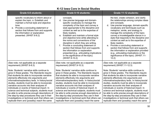| <b>Grade 6-8 students:</b>                                                                                                                                                                                                                                                                                                                                                                                                                                                                                                                                                                                                                                                                                                    | <b>Grade 9-10 students:</b>                                                                                                                                                                                                                                                                                                                                                                                                                                                                                                                                                                                                                                                                                                    | Grade 11-12 students:                                                                                                                                                                                                                                                                                                                                                                                                                                                                                                                                                                                                                                                                                                           |
|-------------------------------------------------------------------------------------------------------------------------------------------------------------------------------------------------------------------------------------------------------------------------------------------------------------------------------------------------------------------------------------------------------------------------------------------------------------------------------------------------------------------------------------------------------------------------------------------------------------------------------------------------------------------------------------------------------------------------------|--------------------------------------------------------------------------------------------------------------------------------------------------------------------------------------------------------------------------------------------------------------------------------------------------------------------------------------------------------------------------------------------------------------------------------------------------------------------------------------------------------------------------------------------------------------------------------------------------------------------------------------------------------------------------------------------------------------------------------|---------------------------------------------------------------------------------------------------------------------------------------------------------------------------------------------------------------------------------------------------------------------------------------------------------------------------------------------------------------------------------------------------------------------------------------------------------------------------------------------------------------------------------------------------------------------------------------------------------------------------------------------------------------------------------------------------------------------------------|
| specific vocabulary to inform about or<br>explain the topic. e. Establish and<br>maintain a formal style and objective<br>tone.<br>e. Provide a concluding statement or<br>section that follows from and supports<br>the information or explanation<br>presented. (WHST.6-8.2)                                                                                                                                                                                                                                                                                                                                                                                                                                                | concepts.<br>d. Use precise language and domain-<br>specific vocabulary to manage the<br>complexity of the topic and convey a<br>style appropriate to the discipline and<br>context as well as to the expertise of<br>likely readers.<br>e. Establish and maintain a formal style<br>and objective tone while attending to<br>the norms and conventions of the<br>discipline in which they are writing.<br>f. Provide a concluding statement or<br>section that follows from and supports<br>the information or explanation<br>presented (e.g., articulating implications<br>or the significance of the topic).<br>(WHST.9-10.2)                                                                                               | the text, create cohesion, and clarify<br>the relationships among complex ideas<br>and concepts.<br>d. Use precise language, domain-specific<br>vocabulary and techniques such as<br>metaphor, simile, and analogy to<br>manage the complexity of the topic;<br>convey a knowledgeable stance in a<br>style that responds to the discipline and<br>context as well as to the expertise of<br>likely readers.<br>e. Provide a concluding statement or<br>section that follows from and supports<br>the information or explanation provided<br>(e.g., articulating implications or the<br>significance of the topic). (WHST.11-<br>12.2)                                                                                          |
| (See note; not applicable as a separate<br>requirement) (WHST.6-8.3)<br>Note: Students' narrative skills continue to<br>grow in these grades. The Standards require<br>that students be able to incorporate narrative<br>elements effectively into arguments and<br>informative/explanatory texts. In history/social<br>studies, students must be able to incorporate<br>narrative accounts into their analyses of<br>individuals or events of historical import. In<br>science and technical subjects, students must<br>be able to write precise enough descriptions of<br>the step-by-step procedures they use in their<br>investigations or technical work that others can<br>replicate them and (possibly) reach the same | (See note; not applicable as a separate<br>requirement) (WHST.9-10.3)<br>Note: Students' narrative skills continue to<br>grow in these grades. The Standards require<br>that students be able to incorporate narrative<br>elements effectively into arguments and<br>informative/explanatory texts. In history/social<br>studies, students must be able to incorporate<br>narrative accounts into their analyses of<br>individuals or events of historical import. In<br>science and technical subjects, students must<br>be able to write precise enough descriptions of<br>the step-by-step procedures they use in their<br>investigations or technical work that others can<br>replicate them and (possibly) reach the same | (See note; not applicable as a separate<br>requirement) (WHST.11-12.3)<br>Note: Students' narrative skills continue to<br>grow in these grades. The Standards require<br>that students be able to incorporate narrative<br>elements effectively into arguments and<br>informative/explanatory texts. In history/social<br>studies, students must be able to incorporate<br>narrative accounts into their analyses of<br>individuals or events of historical import. In<br>science and technical subjects, students must<br>be able to write precise enough descriptions of<br>the step-by-step procedures they use in their<br>investigations or technical work that others can<br>replicate them and (possibly) reach the same |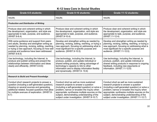| <b>Grade 6-8 students:</b>                                                                                                                                                                                                                                     | Grade 9-10 students:                                                                                                                                                                                                                                                                                                                 | <b>Grade 11-12 students:</b>                                                                                                                                                                                                                                                                                                          |  |
|----------------------------------------------------------------------------------------------------------------------------------------------------------------------------------------------------------------------------------------------------------------|--------------------------------------------------------------------------------------------------------------------------------------------------------------------------------------------------------------------------------------------------------------------------------------------------------------------------------------|---------------------------------------------------------------------------------------------------------------------------------------------------------------------------------------------------------------------------------------------------------------------------------------------------------------------------------------|--|
| results.                                                                                                                                                                                                                                                       | results.                                                                                                                                                                                                                                                                                                                             | results.                                                                                                                                                                                                                                                                                                                              |  |
| <b>Production and Distribution of Writing</b>                                                                                                                                                                                                                  |                                                                                                                                                                                                                                                                                                                                      |                                                                                                                                                                                                                                                                                                                                       |  |
| Produce clear and coherent writing in which<br>the development, organization, and style are<br>appropriate to task, purpose, and audience.<br>(WHST.6-8.4)                                                                                                     | Produce clear and coherent writing in which<br>the development, organization, and style are<br>appropriate to task, purpose, and audience.<br>(WHST.9-10.4)                                                                                                                                                                          | Produce clear and coherent writing in which<br>the development, organization, and style are<br>appropriate to task, purpose, and audience.<br>(WHST.11-12.4)                                                                                                                                                                          |  |
| With some guidance and support from peers<br>and adults, develop and strengthen writing as<br>needed by planning, revising, editing, rewriting,<br>or trying a new approach, focusing on how well<br>purpose and audience have been addressed.<br>(WHST.6-8.5) | Develop and strengthen writing as needed by<br>planning, revising, editing, rewriting, or trying a<br>new approach, focusing on addressing what is<br>most significant for a specific purpose and<br>audience. (WHST.9-10.5)                                                                                                         | Develop and strengthen writing as needed by<br>planning, revising, editing, rewriting, or trying a<br>new approach, focusing on addressing what is<br>most significant for a specific purpose and<br>audience. (WHST.11-12.5)                                                                                                         |  |
| Use technology, including the Internet, to<br>produce and publish writing and present the<br>relationships between information and ideas<br>clearly and efficiently. (WHST.6-8.6)                                                                              | Use technology, including the Internet, to<br>produce, publish, and update individual or<br>shared writing products, taking advantage of<br>technology's capacity to link to other<br>information and to display information flexibly<br>and dynamically. (WHST.9-10.6)                                                              | Use technology, including the Internet, to<br>produce, publish, and update individual or<br>shared writing products in response to ongoing<br>feedback, including new arguments or<br>information. (WHST.11-12.6)                                                                                                                     |  |
| <b>Research to Build and Present Knowledge</b>                                                                                                                                                                                                                 |                                                                                                                                                                                                                                                                                                                                      |                                                                                                                                                                                                                                                                                                                                       |  |
| Conduct short research projects to answer a<br>question (including a self-generated question),<br>drawing on several sources and generating<br>additional related, focused questions that allow<br>for multiple avenues of exploration. (WHST.6-<br>8.7)       | Conduct short as well as more sustained<br>research projects to answer a question<br>(including a self-generated question) or solve a<br>problem; narrow or broaden the inquiry when<br>appropriate; synthesize multiple sources on the<br>subject, demonstrating understanding of the<br>subject under investigation. (WHST.9-10.7) | Conduct short as well as more sustained<br>research projects to answer a question<br>(including a self-generated question) or solve a<br>problem; narrow or broaden the inquiry when<br>appropriate; synthesize multiple sources on the<br>subject, demonstrating understanding of the<br>subject under investigation. (WHST.11-12.7) |  |